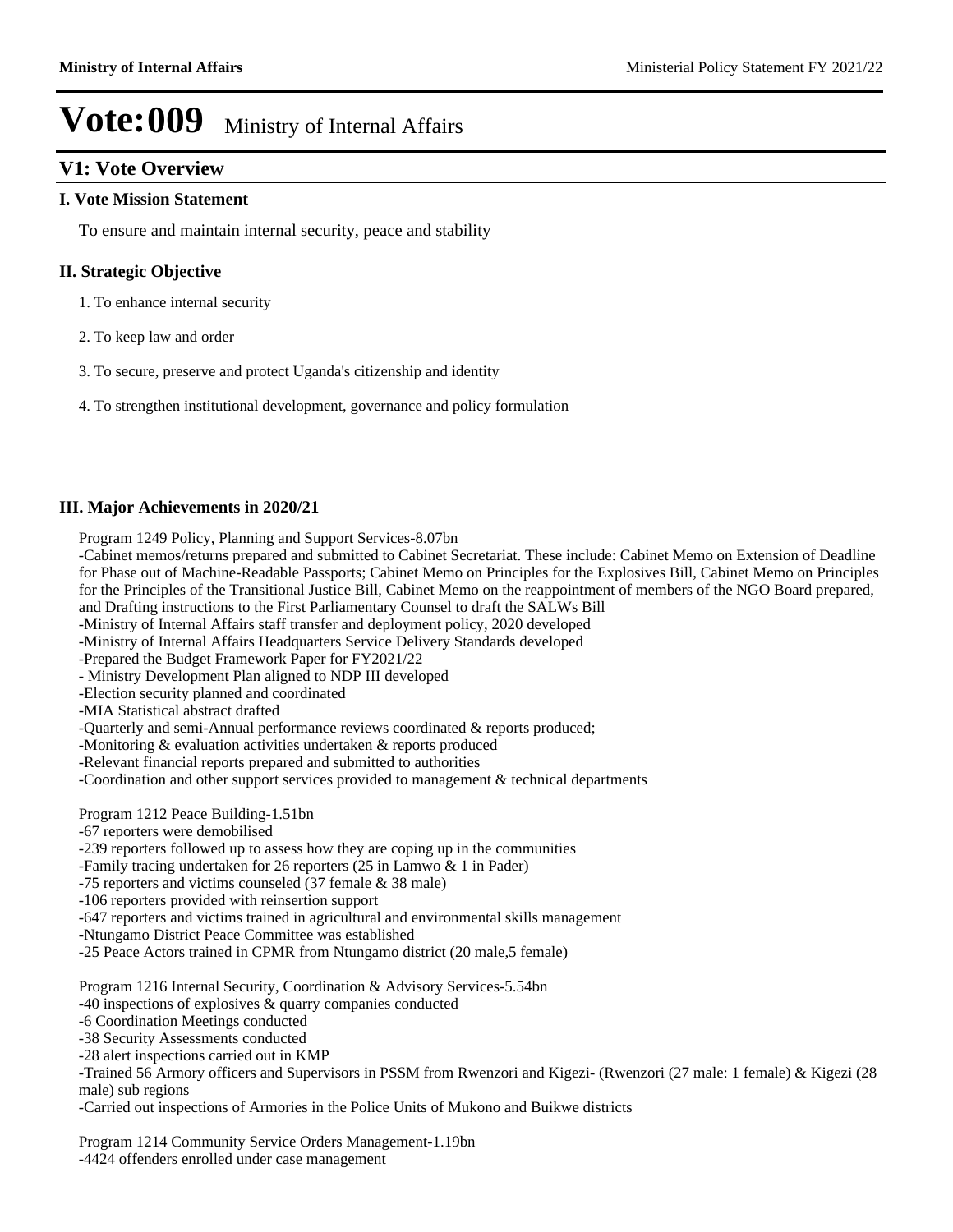### **V1: Vote Overview**

#### **I. Vote Mission Statement**

To ensure and maintain internal security, peace and stability

#### **II. Strategic Objective**

- 1. To enhance internal security
- 2. To keep law and order
- 3. To secure, preserve and protect Uganda's citizenship and identity
- 4. To strengthen institutional development, governance and policy formulation

#### **III. Major Achievements in 2020/21**

Program 1249 Policy, Planning and Support Services-8.07bn

-Cabinet memos/returns prepared and submitted to Cabinet Secretariat. These include: Cabinet Memo on Extension of Deadline for Phase out of Machine-Readable Passports; Cabinet Memo on Principles for the Explosives Bill, Cabinet Memo on Principles for the Principles of the Transitional Justice Bill, Cabinet Memo on the reappointment of members of the NGO Board prepared, and Drafting instructions to the First Parliamentary Counsel to draft the SALWs Bill

-Ministry of Internal Affairs staff transfer and deployment policy, 2020 developed

-Ministry of Internal Affairs Headquarters Service Delivery Standards developed

-Prepared the Budget Framework Paper for FY2021/22

- Ministry Development Plan aligned to NDP III developed

-Election security planned and coordinated

-MIA Statistical abstract drafted

-Quarterly and semi-Annual performance reviews coordinated & reports produced;

-Monitoring & evaluation activities undertaken & reports produced

-Relevant financial reports prepared and submitted to authorities

-Coordination and other support services provided to management & technical departments

Program 1212 Peace Building-1.51bn

- -67 reporters were demobilised
- -239 reporters followed up to assess how they are coping up in the communities
- -Family tracing undertaken for 26 reporters (25 in Lamwo & 1 in Pader)

-75 reporters and victims counseled (37 female & 38 male)

-106 reporters provided with reinsertion support

- -647 reporters and victims trained in agricultural and environmental skills management
- -Ntungamo District Peace Committee was established
- -25 Peace Actors trained in CPMR from Ntungamo district (20 male,5 female)

Program 1216 Internal Security, Coordination & Advisory Services-5.54bn

- -40 inspections of explosives & quarry companies conducted
- -6 Coordination Meetings conducted
- -38 Security Assessments conducted
- -28 alert inspections carried out in KMP

-Trained 56 Armory officers and Supervisors in PSSM from Rwenzori and Kigezi- (Rwenzori (27 male: 1 female) & Kigezi (28 male) sub regions

-Carried out inspections of Armories in the Police Units of Mukono and Buikwe districts

Program 1214 Community Service Orders Management-1.19bn

-4424 offenders enrolled under case management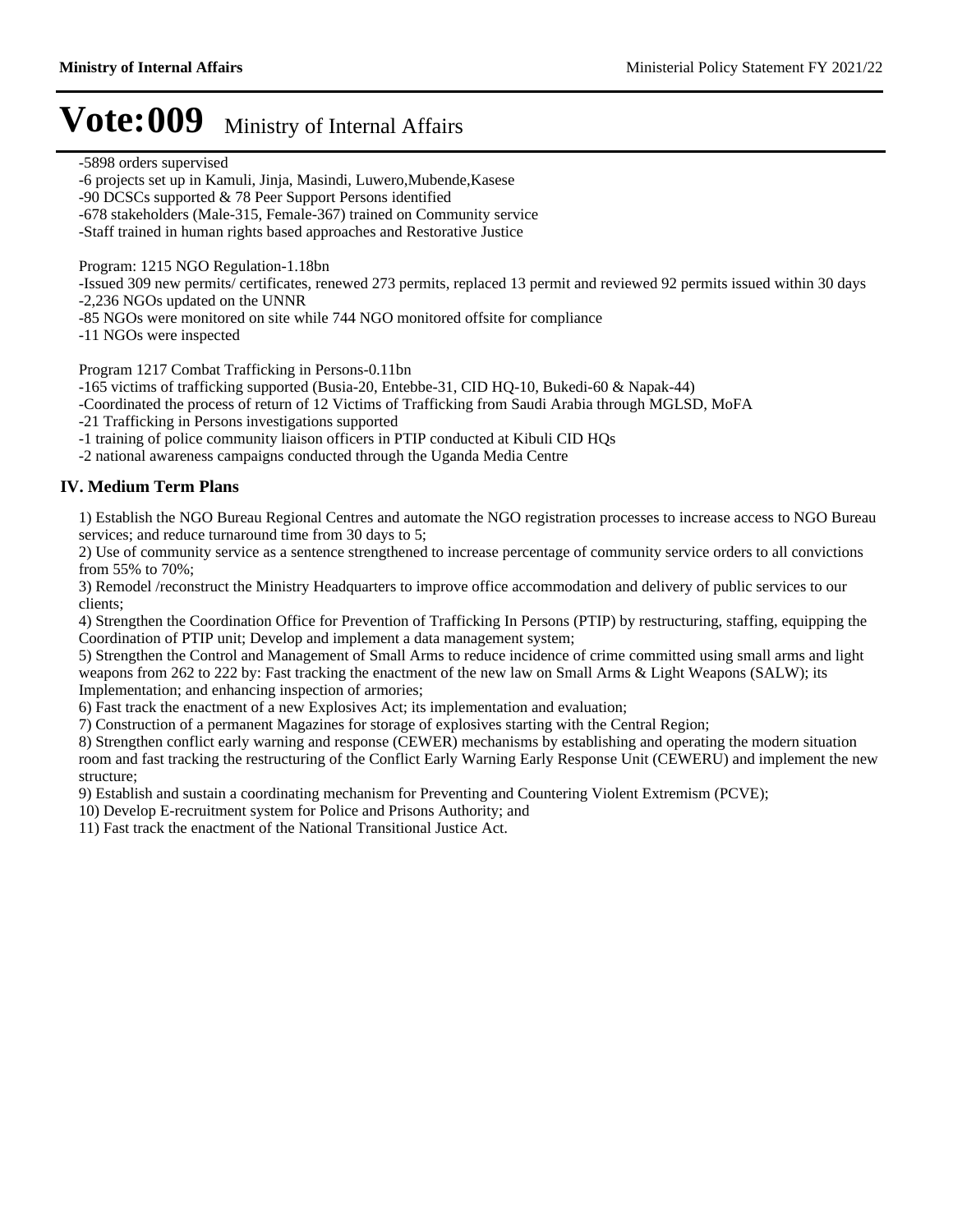-5898 orders supervised

- -6 projects set up in Kamuli, Jinja, Masindi, Luwero,Mubende,Kasese
- -90 DCSCs supported & 78 Peer Support Persons identified
- -678 stakeholders (Male-315, Female-367) trained on Community service

-Staff trained in human rights based approaches and Restorative Justice

Program: 1215 NGO Regulation-1.18bn

-Issued 309 new permits/ certificates, renewed 273 permits, replaced 13 permit and reviewed 92 permits issued within 30 days -2,236 NGOs updated on the UNNR

-85 NGOs were monitored on site while 744 NGO monitored offsite for compliance

-11 NGOs were inspected

Program 1217 Combat Trafficking in Persons-0.11bn

-165 victims of trafficking supported (Busia-20, Entebbe-31, CID HQ-10, Bukedi-60 & Napak-44)

-Coordinated the process of return of 12 Victims of Trafficking from Saudi Arabia through MGLSD, MoFA

-21 Trafficking in Persons investigations supported

-1 training of police community liaison officers in PTIP conducted at Kibuli CID HQs

-2 national awareness campaigns conducted through the Uganda Media Centre

#### **IV. Medium Term Plans**

1) Establish the NGO Bureau Regional Centres and automate the NGO registration processes to increase access to NGO Bureau services; and reduce turnaround time from 30 days to 5;

2) Use of community service as a sentence strengthened to increase percentage of community service orders to all convictions from 55% to 70%;

3) Remodel /reconstruct the Ministry Headquarters to improve office accommodation and delivery of public services to our clients;

4) Strengthen the Coordination Office for Prevention of Trafficking In Persons (PTIP) by restructuring, staffing, equipping the Coordination of PTIP unit; Develop and implement a data management system;

5) Strengthen the Control and Management of Small Arms to reduce incidence of crime committed using small arms and light weapons from 262 to 222 by: Fast tracking the enactment of the new law on Small Arms & Light Weapons (SALW); its Implementation; and enhancing inspection of armories;

6) Fast track the enactment of a new Explosives Act; its implementation and evaluation;

7) Construction of a permanent Magazines for storage of explosives starting with the Central Region;

8) Strengthen conflict early warning and response (CEWER) mechanisms by establishing and operating the modern situation room and fast tracking the restructuring of the Conflict Early Warning Early Response Unit (CEWERU) and implement the new structure;

9) Establish and sustain a coordinating mechanism for Preventing and Countering Violent Extremism (PCVE);

10) Develop E-recruitment system for Police and Prisons Authority; and

11) Fast track the enactment of the National Transitional Justice Act.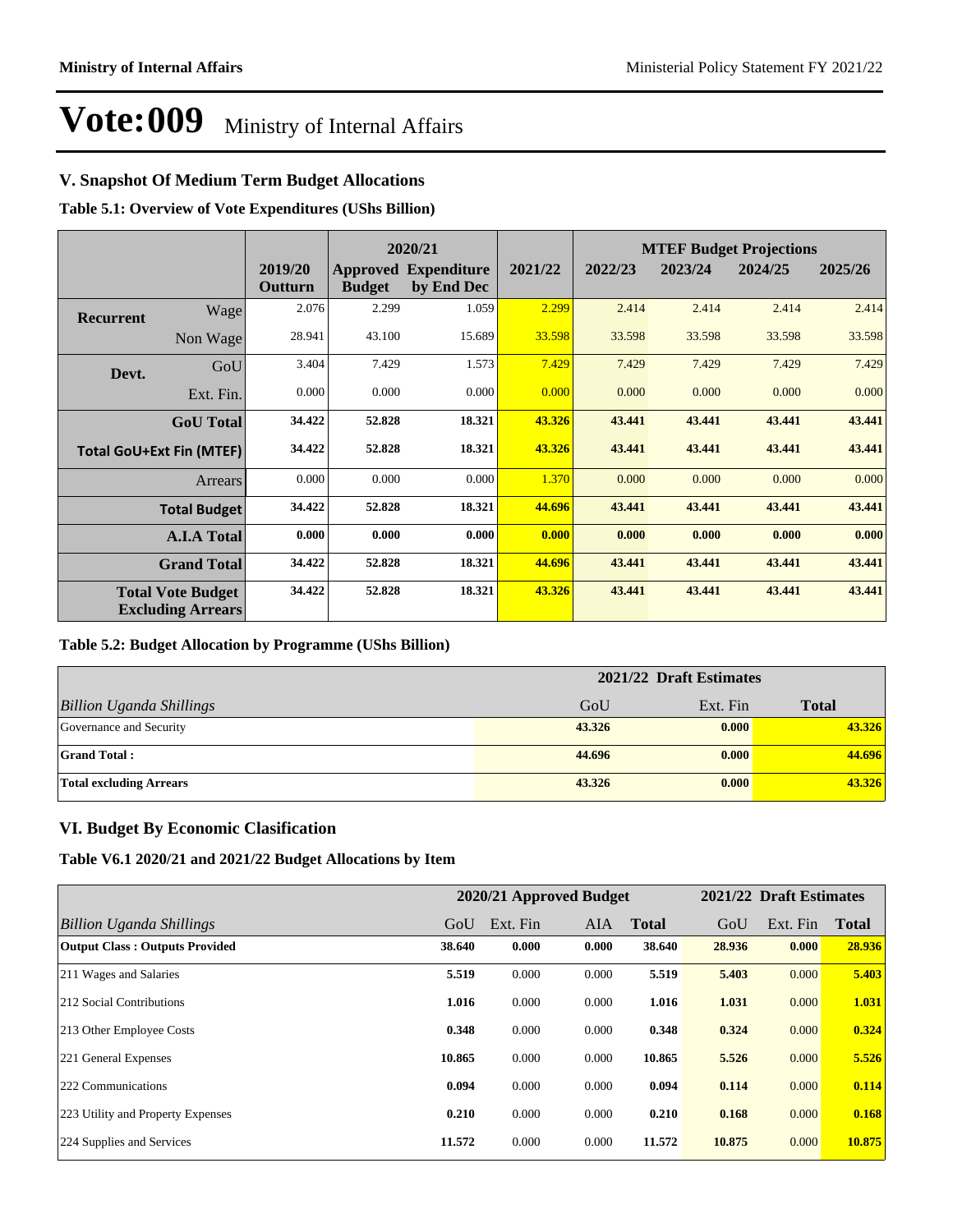### **V. Snapshot Of Medium Term Budget Allocations**

**Table 5.1: Overview of Vote Expenditures (UShs Billion)**

|                  |                                                      |                    |               | 2020/21                                   |         |         |         | <b>MTEF Budget Projections</b> |         |  |
|------------------|------------------------------------------------------|--------------------|---------------|-------------------------------------------|---------|---------|---------|--------------------------------|---------|--|
|                  |                                                      | 2019/20<br>Outturn | <b>Budget</b> | <b>Approved Expenditure</b><br>by End Dec | 2021/22 | 2022/23 | 2023/24 | 2024/25                        | 2025/26 |  |
| <b>Recurrent</b> | Wage                                                 | 2.076              | 2.299         | 1.059                                     | 2.299   | 2.414   | 2.414   | 2.414                          | 2.414   |  |
|                  | Non Wage                                             | 28.941             | 43.100        | 15.689                                    | 33.598  | 33.598  | 33.598  | 33.598                         | 33.598  |  |
| Devt.            | GoU                                                  | 3.404              | 7.429         | 1.573                                     | 7.429   | 7.429   | 7.429   | 7.429                          | 7.429   |  |
|                  | Ext. Fin.                                            | 0.000              | 0.000         | 0.000                                     | 0.000   | 0.000   | 0.000   | 0.000                          | 0.000   |  |
|                  | <b>GoU</b> Total                                     | 34.422             | 52.828        | 18.321                                    | 43.326  | 43.441  | 43.441  | 43.441                         | 43.441  |  |
|                  | <b>Total GoU+Ext Fin (MTEF)</b>                      | 34.422             | 52.828        | 18.321                                    | 43.326  | 43.441  | 43.441  | 43.441                         | 43.441  |  |
|                  | <b>Arrears</b>                                       | 0.000              | 0.000         | 0.000                                     | 1.370   | 0.000   | 0.000   | 0.000                          | 0.000   |  |
|                  | <b>Total Budget</b>                                  | 34.422             | 52.828        | 18.321                                    | 44.696  | 43.441  | 43.441  | 43.441                         | 43.441  |  |
|                  | <b>A.I.A Total</b>                                   | 0.000              | 0.000         | 0.000                                     | 0.000   | 0.000   | 0.000   | 0.000                          | 0.000   |  |
|                  | <b>Grand Total</b>                                   | 34.422             | 52.828        | 18.321                                    | 44.696  | 43.441  | 43.441  | 43.441                         | 43.441  |  |
|                  | <b>Total Vote Budget</b><br><b>Excluding Arrears</b> | 34.422             | 52.828        | 18.321                                    | 43.326  | 43.441  | 43.441  | 43.441                         | 43.441  |  |

#### **Table 5.2: Budget Allocation by Programme (UShs Billion)**

|                                 | 2021/22 Draft Estimates |          |              |  |  |  |
|---------------------------------|-------------------------|----------|--------------|--|--|--|
| <b>Billion Uganda Shillings</b> | GoU                     | Ext. Fin | <b>Total</b> |  |  |  |
| Governance and Security         | 43.326                  | 0.000    | 43.326       |  |  |  |
| <b>Grand Total:</b>             | 44.696                  | 0.000    | 44.696       |  |  |  |
| <b>Total excluding Arrears</b>  | 43.326                  | 0.000    | 43.326       |  |  |  |

#### **VI. Budget By Economic Clasification**

**Table V6.1 2020/21 and 2021/22 Budget Allocations by Item**

|                                       | 2020/21 Approved Budget |          |            |              | 2021/22 Draft Estimates |          |        |
|---------------------------------------|-------------------------|----------|------------|--------------|-------------------------|----------|--------|
| Billion Uganda Shillings              | GoU                     | Ext. Fin | <b>AIA</b> | <b>Total</b> | GoU                     | Ext. Fin | Total  |
| <b>Output Class: Outputs Provided</b> | 38.640                  | 0.000    | 0.000      | 38.640       | 28.936                  | 0.000    | 28.936 |
| 211 Wages and Salaries                | 5.519                   | 0.000    | 0.000      | 5.519        | 5.403                   | 0.000    | 5.403  |
| 212 Social Contributions              | 1.016                   | 0.000    | 0.000      | 1.016        | 1.031                   | 0.000    | 1.031  |
| 213 Other Employee Costs              | 0.348                   | 0.000    | 0.000      | 0.348        | 0.324                   | 0.000    | 0.324  |
| 221 General Expenses                  | 10.865                  | 0.000    | 0.000      | 10.865       | 5.526                   | 0.000    | 5.526  |
| 222 Communications                    | 0.094                   | 0.000    | 0.000      | 0.094        | 0.114                   | 0.000    | 0.114  |
| 223 Utility and Property Expenses     | 0.210                   | 0.000    | 0.000      | 0.210        | 0.168                   | 0.000    | 0.168  |
| 224 Supplies and Services             | 11.572                  | 0.000    | 0.000      | 11.572       | 10.875                  | 0.000    | 10.875 |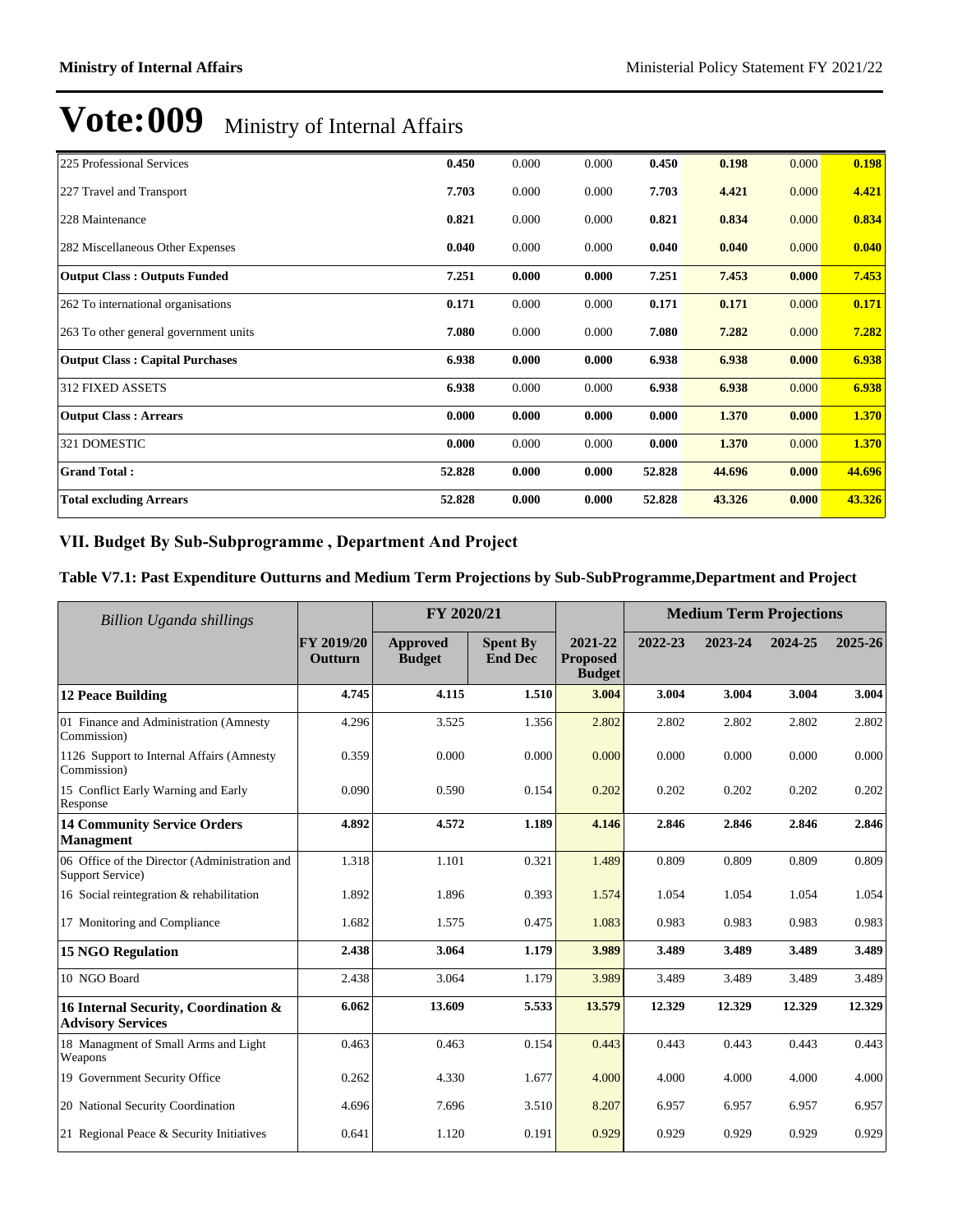| 225 Professional Services              | 0.450  | 0.000 | 0.000 | 0.450  | 0.198  | 0.000 | 0.198  |
|----------------------------------------|--------|-------|-------|--------|--------|-------|--------|
| 227 Travel and Transport               | 7.703  | 0.000 | 0.000 | 7.703  | 4.421  | 0.000 | 4.421  |
| 228 Maintenance                        | 0.821  | 0.000 | 0.000 | 0.821  | 0.834  | 0.000 | 0.834  |
| 282 Miscellaneous Other Expenses       | 0.040  | 0.000 | 0.000 | 0.040  | 0.040  | 0.000 | 0.040  |
| <b>Output Class: Outputs Funded</b>    | 7.251  | 0.000 | 0.000 | 7.251  | 7.453  | 0.000 | 7.453  |
| 262 To international organisations     | 0.171  | 0.000 | 0.000 | 0.171  | 0.171  | 0.000 | 0.171  |
| 263 To other general government units  | 7.080  | 0.000 | 0.000 | 7.080  | 7.282  | 0.000 | 7.282  |
| <b>Output Class: Capital Purchases</b> | 6.938  | 0.000 | 0.000 | 6.938  | 6.938  | 0.000 | 6.938  |
| <b>312 FIXED ASSETS</b>                | 6.938  | 0.000 | 0.000 | 6.938  | 6.938  | 0.000 | 6.938  |
| <b>Output Class: Arrears</b>           | 0.000  | 0.000 | 0.000 | 0.000  | 1.370  | 0.000 | 1.370  |
| 321 DOMESTIC                           | 0.000  | 0.000 | 0.000 | 0.000  | 1.370  | 0.000 | 1.370  |
| <b>Grand Total:</b>                    | 52.828 | 0.000 | 0.000 | 52.828 | 44.696 | 0.000 | 44.696 |
| <b>Total excluding Arrears</b>         | 52.828 | 0.000 | 0.000 | 52.828 | 43.326 | 0.000 | 43.326 |

### VII. Budget By Sub-Subprogramme, Department And Project

#### **Table V7.1: Past Expenditure Outturns and Medium Term Projections by Sub-SubProgramme,Department and Project**

| Billion Uganda shillings                                          |                       | FY 2020/21                |                                   |                                             | <b>Medium Term Projections</b> |         |         |         |
|-------------------------------------------------------------------|-----------------------|---------------------------|-----------------------------------|---------------------------------------------|--------------------------------|---------|---------|---------|
|                                                                   | FY 2019/20<br>Outturn | Approved<br><b>Budget</b> | <b>Spent By</b><br><b>End Dec</b> | 2021-22<br><b>Proposed</b><br><b>Budget</b> | 2022-23                        | 2023-24 | 2024-25 | 2025-26 |
| <b>12 Peace Building</b>                                          | 4.745                 | 4.115                     | 1.510                             | 3.004                                       | 3.004                          | 3.004   | 3.004   | 3.004   |
| 01 Finance and Administration (Amnesty<br>Commission)             | 4.296                 | 3.525                     | 1.356                             | 2.802                                       | 2.802                          | 2.802   | 2.802   | 2.802   |
| 1126 Support to Internal Affairs (Amnesty<br>Commission)          | 0.359                 | 0.000                     | 0.000                             | 0.000                                       | 0.000                          | 0.000   | 0.000   | 0.000   |
| 15 Conflict Early Warning and Early<br>Response                   | 0.090                 | 0.590                     | 0.154                             | 0.202                                       | 0.202                          | 0.202   | 0.202   | 0.202   |
| <b>14 Community Service Orders</b><br><b>Managment</b>            | 4.892                 | 4.572                     | 1.189                             | 4.146                                       | 2.846                          | 2.846   | 2.846   | 2.846   |
| 06 Office of the Director (Administration and<br>Support Service) | 1.318                 | 1.101                     | 0.321                             | 1.489                                       | 0.809                          | 0.809   | 0.809   | 0.809   |
| 16 Social reintegration & rehabilitation                          | 1.892                 | 1.896                     | 0.393                             | 1.574                                       | 1.054                          | 1.054   | 1.054   | 1.054   |
| 17 Monitoring and Compliance                                      | 1.682                 | 1.575                     | 0.475                             | 1.083                                       | 0.983                          | 0.983   | 0.983   | 0.983   |
| <b>15 NGO Regulation</b>                                          | 2.438                 | 3.064                     | 1.179                             | 3.989                                       | 3.489                          | 3.489   | 3.489   | 3.489   |
| 10 NGO Board                                                      | 2.438                 | 3.064                     | 1.179                             | 3.989                                       | 3.489                          | 3.489   | 3.489   | 3.489   |
| 16 Internal Security, Coordination &<br><b>Advisory Services</b>  | 6.062                 | 13.609                    | 5.533                             | 13.579                                      | 12.329                         | 12.329  | 12.329  | 12.329  |
| 18 Managment of Small Arms and Light<br>Weapons                   | 0.463                 | 0.463                     | 0.154                             | 0.443                                       | 0.443                          | 0.443   | 0.443   | 0.443   |
| 19 Government Security Office                                     | 0.262                 | 4.330                     | 1.677                             | 4.000                                       | 4.000                          | 4.000   | 4.000   | 4.000   |
| 20 National Security Coordination                                 | 4.696                 | 7.696                     | 3.510                             | 8.207                                       | 6.957                          | 6.957   | 6.957   | 6.957   |
| 21 Regional Peace & Security Initiatives                          | 0.641                 | 1.120                     | 0.191                             | 0.929                                       | 0.929                          | 0.929   | 0.929   | 0.929   |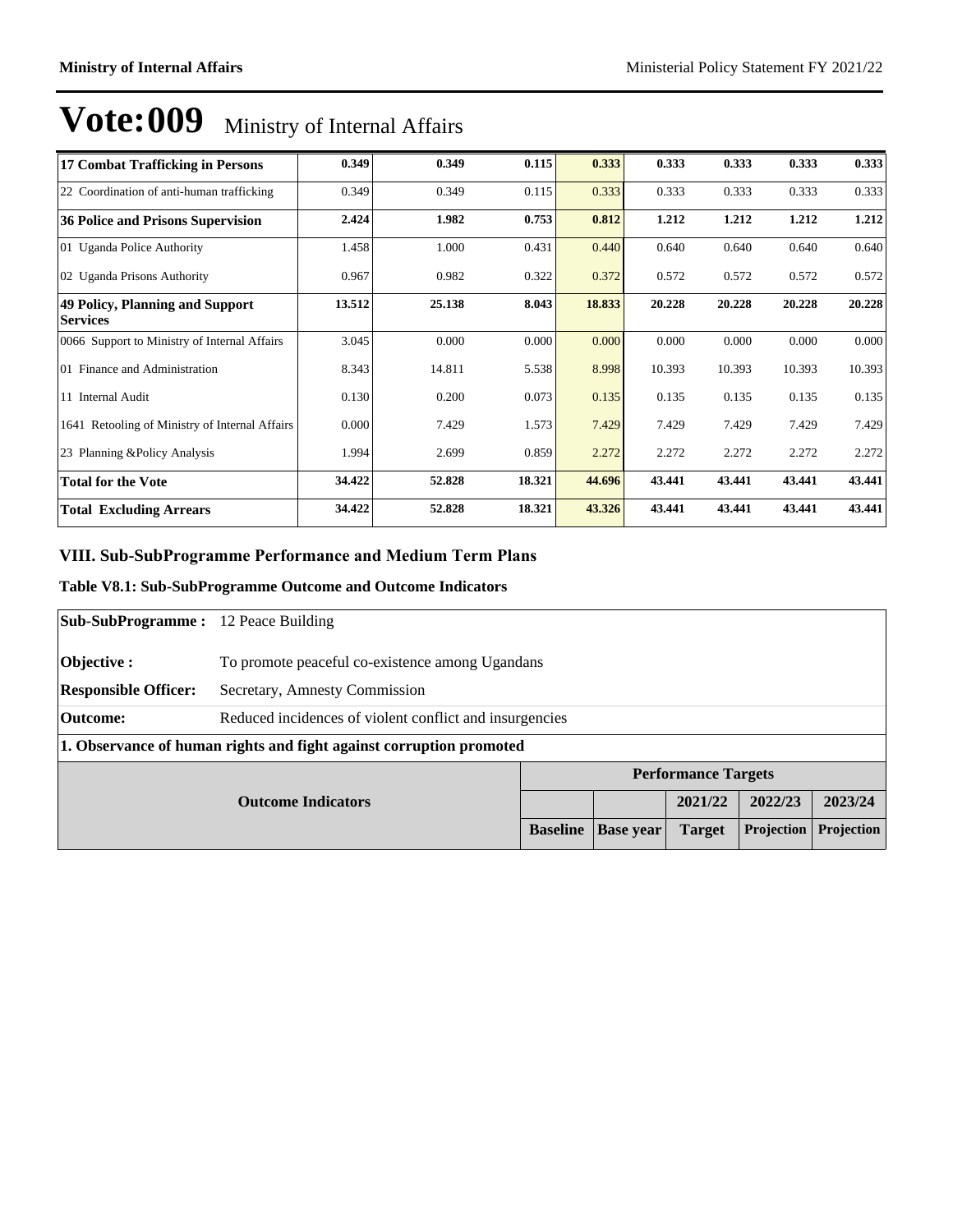| 17 Combat Trafficking in Persons                   | 0.349  | 0.349  | 0.115  | 0.333  | 0.333  | 0.333  | 0.333  | 0.333  |
|----------------------------------------------------|--------|--------|--------|--------|--------|--------|--------|--------|
| 22 Coordination of anti-human trafficking          | 0.349  | 0.349  | 0.115  | 0.333  | 0.333  | 0.333  | 0.333  | 0.333  |
| 36 Police and Prisons Supervision                  | 2.424  | 1.982  | 0.753  | 0.812  | 1.212  | 1.212  | 1.212  | 1.212  |
| 01 Uganda Police Authority                         | 1.458  | 1.000  | 0.431  | 0.440  | 0.640  | 0.640  | 0.640  | 0.640  |
| 02 Uganda Prisons Authority                        | 0.967  | 0.982  | 0.322  | 0.372  | 0.572  | 0.572  | 0.572  | 0.572  |
| 49 Policy, Planning and Support<br><b>Services</b> | 13.512 | 25.138 | 8.043  | 18.833 | 20.228 | 20.228 | 20.228 | 20.228 |
| 0066 Support to Ministry of Internal Affairs       | 3.045  | 0.000  | 0.000  | 0.000  | 0.000  | 0.000  | 0.000  | 0.000  |
| 01 Finance and Administration                      | 8.343  | 14.811 | 5.538  | 8.998  | 10.393 | 10.393 | 10.393 | 10.393 |
| 11 Internal Audit                                  | 0.130  | 0.200  | 0.073  | 0.135  | 0.135  | 0.135  | 0.135  | 0.135  |
| 1641 Retooling of Ministry of Internal Affairs     | 0.000  | 7.429  | 1.573  | 7.429  | 7.429  | 7.429  | 7.429  | 7.429  |
| 23 Planning & Policy Analysis                      | 1.994  | 2.699  | 0.859  | 2.272  | 2.272  | 2.272  | 2.272  | 2.272  |
| <b>Total for the Vote</b>                          | 34.422 | 52.828 | 18.321 | 44.696 | 43.441 | 43.441 | 43.441 | 43.441 |
| <b>Total Excluding Arrears</b>                     | 34.422 | 52.828 | 18.321 | 43.326 | 43.441 | 43.441 | 43.441 | 43.441 |

### VIII. Sub-SubProgramme Performance and Medium Term Plans

#### **Table V8.1: Sub-SubProgramme Outcome and Outcome Indicators**

| <b>Sub-SubProgramme:</b> 12 Peace Building |                                                                     |                 |                  |                            |            |            |
|--------------------------------------------|---------------------------------------------------------------------|-----------------|------------------|----------------------------|------------|------------|
| <b>Objective:</b>                          | To promote peaceful co-existence among Ugandans                     |                 |                  |                            |            |            |
| <b>Responsible Officer:</b>                | Secretary, Amnesty Commission                                       |                 |                  |                            |            |            |
| Outcome:                                   | Reduced incidences of violent conflict and insurgencies             |                 |                  |                            |            |            |
|                                            | 1. Observance of human rights and fight against corruption promoted |                 |                  |                            |            |            |
|                                            |                                                                     |                 |                  | <b>Performance Targets</b> |            |            |
| <b>Outcome Indicators</b>                  |                                                                     |                 |                  | 2021/22                    | 2022/23    | 2023/24    |
|                                            |                                                                     | <b>Baseline</b> | <b>Base</b> year | <b>Target</b>              | Projection | Projection |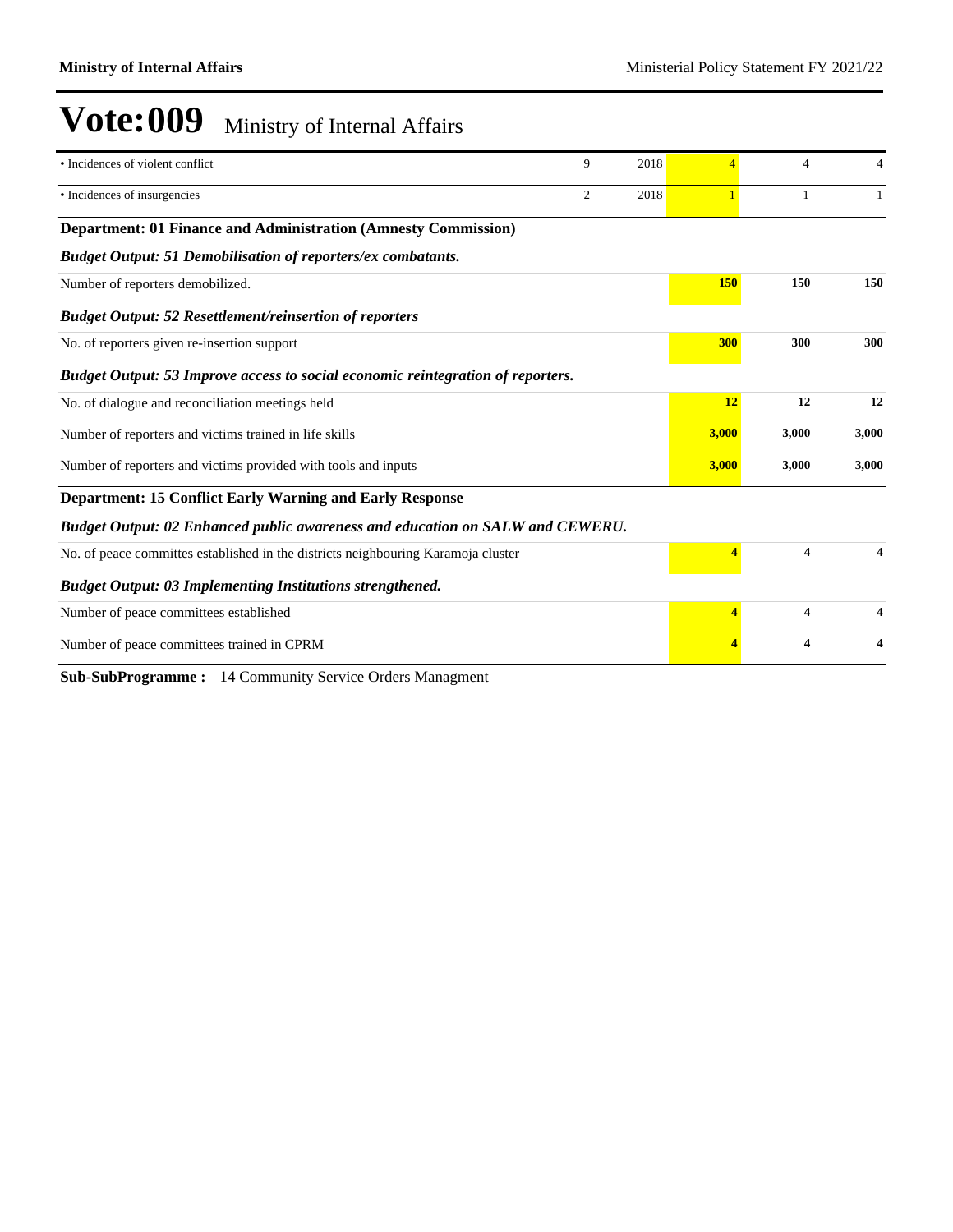| · Incidences of violent conflict                                                       | 9              | 2018 | $\overline{4}$ | 4                       | 4     |
|----------------------------------------------------------------------------------------|----------------|------|----------------|-------------------------|-------|
| · Incidences of insurgencies                                                           | $\overline{c}$ | 2018 |                | 1                       |       |
| <b>Department: 01 Finance and Administration (Amnesty Commission)</b>                  |                |      |                |                         |       |
| <b>Budget Output: 51 Demobilisation of reporters/ex combatants.</b>                    |                |      |                |                         |       |
| Number of reporters demobilized.                                                       |                |      | 150            | 150                     | 150   |
| <b>Budget Output: 52 Resettlement/reinsertion of reporters</b>                         |                |      |                |                         |       |
| No. of reporters given re-insertion support                                            |                |      | 300            | 300                     | 300   |
| <b>Budget Output: 53 Improve access to social economic reintegration of reporters.</b> |                |      |                |                         |       |
| No. of dialogue and reconciliation meetings held                                       |                |      | 12             | 12                      | 12    |
| Number of reporters and victims trained in life skills                                 |                |      | 3,000          | 3,000                   | 3,000 |
| Number of reporters and victims provided with tools and inputs                         |                |      | 3,000          | 3,000                   | 3,000 |
| <b>Department: 15 Conflict Early Warning and Early Response</b>                        |                |      |                |                         |       |
| Budget Output: 02 Enhanced public awareness and education on SALW and CEWERU.          |                |      |                |                         |       |
| No. of peace committes established in the districts neighbouring Karamoja cluster      |                |      |                | $\overline{\mathbf{4}}$ |       |
| <b>Budget Output: 03 Implementing Institutions strengthened.</b>                       |                |      |                |                         |       |
| Number of peace committees established                                                 |                |      |                | 4                       |       |
| Number of peace committees trained in CPRM                                             |                |      |                | 4                       |       |
| <b>Sub-SubProgramme:</b> 14 Community Service Orders Managment                         |                |      |                |                         |       |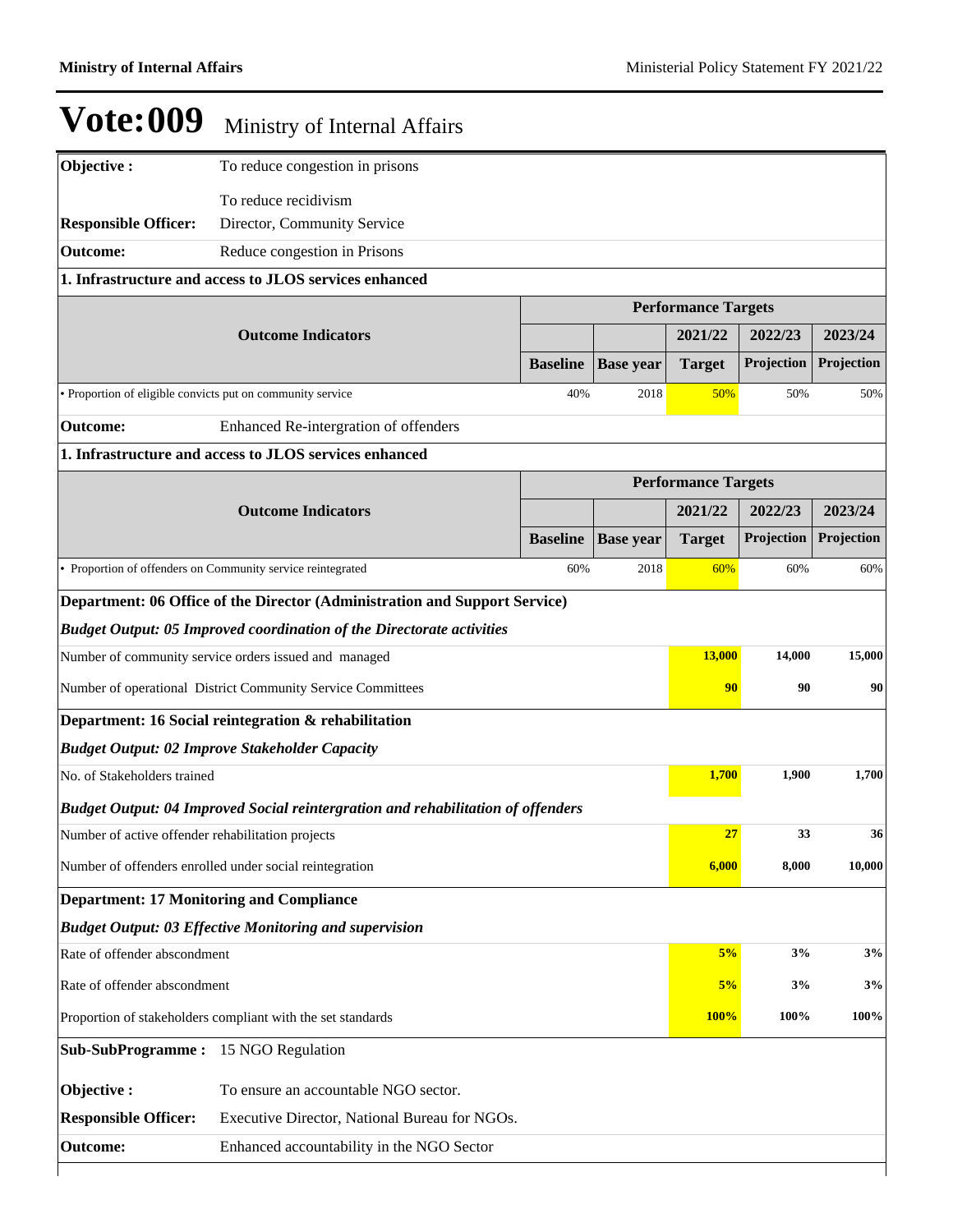| Objective:                                                 | To reduce congestion in prisons                                                  |                 |                  |                            |            |            |
|------------------------------------------------------------|----------------------------------------------------------------------------------|-----------------|------------------|----------------------------|------------|------------|
|                                                            | To reduce recidivism                                                             |                 |                  |                            |            |            |
| <b>Responsible Officer:</b>                                | Director, Community Service                                                      |                 |                  |                            |            |            |
| <b>Outcome:</b>                                            | Reduce congestion in Prisons                                                     |                 |                  |                            |            |            |
|                                                            | 1. Infrastructure and access to JLOS services enhanced                           |                 |                  |                            |            |            |
|                                                            |                                                                                  |                 |                  | <b>Performance Targets</b> |            |            |
|                                                            | <b>Outcome Indicators</b>                                                        |                 |                  | 2021/22                    | 2022/23    | 2023/24    |
|                                                            |                                                                                  | <b>Baseline</b> | <b>Base year</b> | <b>Target</b>              | Projection | Projection |
| • Proportion of eligible convicts put on community service |                                                                                  | 40%             | 2018             | 50%                        | 50%        | 50%        |
| <b>Outcome:</b>                                            | Enhanced Re-intergration of offenders                                            |                 |                  |                            |            |            |
|                                                            | 1. Infrastructure and access to JLOS services enhanced                           |                 |                  |                            |            |            |
|                                                            | <b>Performance Targets</b>                                                       |                 |                  |                            |            |            |
|                                                            | <b>Outcome Indicators</b>                                                        |                 |                  | 2021/22                    | 2022/23    | 2023/24    |
|                                                            |                                                                                  | <b>Baseline</b> | <b>Base year</b> | <b>Target</b>              | Projection | Projection |
|                                                            | Proportion of offenders on Community service reintegrated                        | 60%             | 2018             | 60%                        | 60%        | 60%        |
|                                                            | Department: 06 Office of the Director (Administration and Support Service)       |                 |                  |                            |            |            |
|                                                            | <b>Budget Output: 05 Improved coordination of the Directorate activities</b>     |                 |                  |                            |            |            |
|                                                            | Number of community service orders issued and managed                            |                 |                  | 13,000                     | 14,000     | 15,000     |
|                                                            | Number of operational District Community Service Committees                      |                 |                  | 90                         | 90         | 90         |
|                                                            | Department: 16 Social reintegration & rehabilitation                             |                 |                  |                            |            |            |
|                                                            | <b>Budget Output: 02 Improve Stakeholder Capacity</b>                            |                 |                  |                            |            |            |
| No. of Stakeholders trained                                |                                                                                  |                 |                  | 1,700                      | 1,900      | 1,700      |
|                                                            | Budget Output: 04 Improved Social reintergration and rehabilitation of offenders |                 |                  |                            |            |            |
| Number of active offender rehabilitation projects          |                                                                                  |                 |                  | 27                         | 33         | 36         |
|                                                            | Number of offenders enrolled under social reintegration                          |                 |                  | 6,000                      | 8,000      | 10,000     |
| <b>Department: 17 Monitoring and Compliance</b>            |                                                                                  |                 |                  |                            |            |            |
|                                                            | <b>Budget Output: 03 Effective Monitoring and supervision</b>                    |                 |                  |                            |            |            |
| Rate of offender abscondment                               |                                                                                  |                 |                  | 5%                         | 3%         | 3%         |
| Rate of offender abscondment                               |                                                                                  |                 |                  | 5%                         | 3%         | 3%         |
|                                                            | Proportion of stakeholders compliant with the set standards                      |                 |                  | 100%                       | 100%       | 100%       |
| <b>Sub-SubProgramme:</b> 15 NGO Regulation                 |                                                                                  |                 |                  |                            |            |            |
| Objective:                                                 | To ensure an accountable NGO sector.                                             |                 |                  |                            |            |            |
| <b>Responsible Officer:</b>                                | Executive Director, National Bureau for NGOs.                                    |                 |                  |                            |            |            |
| <b>Outcome:</b>                                            | Enhanced accountability in the NGO Sector                                        |                 |                  |                            |            |            |
|                                                            |                                                                                  |                 |                  |                            |            |            |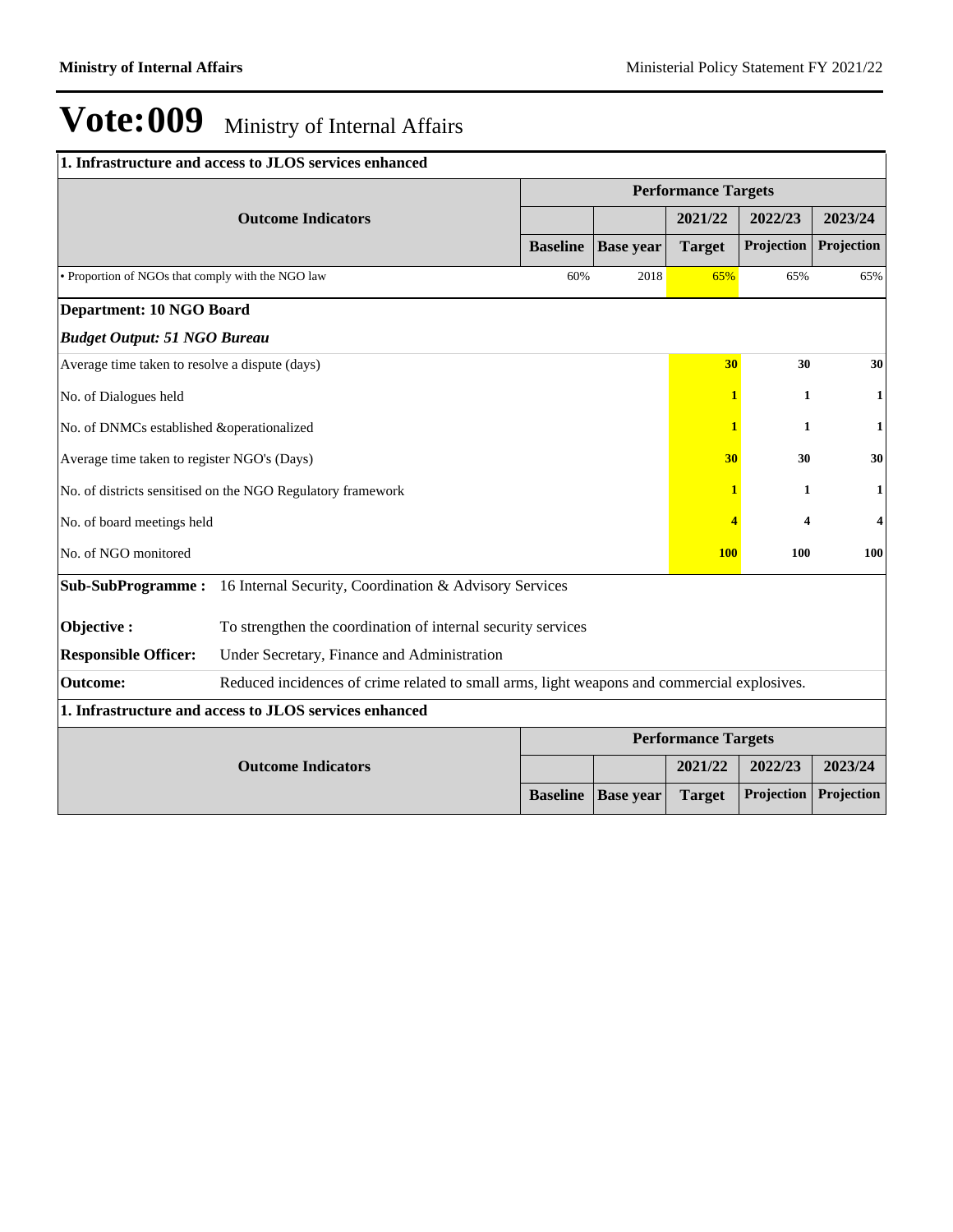| 1. Infrastructure and access to JLOS services enhanced                                                         |                 |                  |                            |              |                         |
|----------------------------------------------------------------------------------------------------------------|-----------------|------------------|----------------------------|--------------|-------------------------|
|                                                                                                                |                 |                  | <b>Performance Targets</b> |              |                         |
| <b>Outcome Indicators</b>                                                                                      |                 |                  | 2021/22                    | 2022/23      | 2023/24                 |
|                                                                                                                | <b>Baseline</b> | <b>Base year</b> | <b>Target</b>              | Projection   | Projection              |
| • Proportion of NGOs that comply with the NGO law                                                              | 60%             | 2018             | 65%                        | 65%          | 65%                     |
| <b>Department: 10 NGO Board</b>                                                                                |                 |                  |                            |              |                         |
| <b>Budget Output: 51 NGO Bureau</b>                                                                            |                 |                  |                            |              |                         |
| Average time taken to resolve a dispute (days)                                                                 |                 |                  | 30                         | 30           | 30                      |
| No. of Dialogues held                                                                                          |                 |                  | 1                          | 1            | 1                       |
| No. of DNMCs established &operationalized                                                                      |                 |                  | 1                          | 1            | 1                       |
| Average time taken to register NGO's (Days)                                                                    |                 |                  | 30                         | 30           | 30                      |
| No. of districts sensitised on the NGO Regulatory framework                                                    |                 |                  | 1                          | $\mathbf{1}$ | 1                       |
| No. of board meetings held                                                                                     |                 |                  | 4                          | 4            | $\overline{\mathbf{4}}$ |
| No. of NGO monitored                                                                                           |                 |                  | <b>100</b>                 | <b>100</b>   | <b>100</b>              |
| Sub-SubProgramme: 16 Internal Security, Coordination & Advisory Services                                       |                 |                  |                            |              |                         |
| Objective:<br>To strengthen the coordination of internal security services                                     |                 |                  |                            |              |                         |
| <b>Responsible Officer:</b><br>Under Secretary, Finance and Administration                                     |                 |                  |                            |              |                         |
| Reduced incidences of crime related to small arms, light weapons and commercial explosives.<br><b>Outcome:</b> |                 |                  |                            |              |                         |
| 1. Infrastructure and access to JLOS services enhanced                                                         |                 |                  |                            |              |                         |
|                                                                                                                |                 |                  | <b>Performance Targets</b> |              |                         |
| <b>Outcome Indicators</b>                                                                                      |                 |                  | 2021/22                    | 2022/23      | 2023/24                 |
|                                                                                                                | <b>Baseline</b> | <b>Base</b> year | <b>Target</b>              | Projection   | Projection              |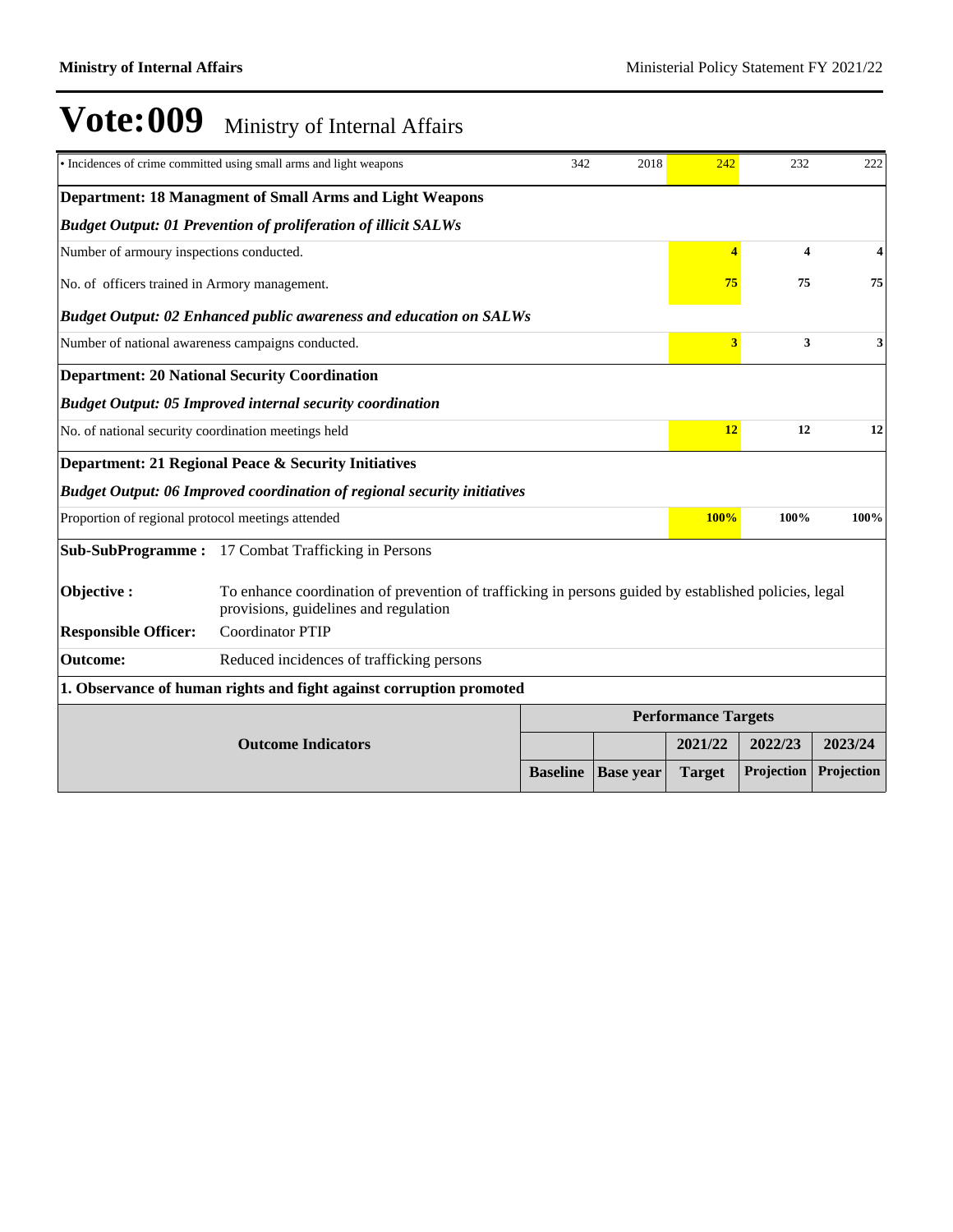|                                                     | • Incidences of crime committed using small arms and light weapons                                                                             | 342                        | 2018             | 242                     | 232                     | 222        |
|-----------------------------------------------------|------------------------------------------------------------------------------------------------------------------------------------------------|----------------------------|------------------|-------------------------|-------------------------|------------|
|                                                     | <b>Department: 18 Managment of Small Arms and Light Weapons</b>                                                                                |                            |                  |                         |                         |            |
|                                                     | <b>Budget Output: 01 Prevention of proliferation of illicit SALWs</b>                                                                          |                            |                  |                         |                         |            |
| Number of armoury inspections conducted.            |                                                                                                                                                |                            |                  | $\overline{A}$          | $\overline{\mathbf{4}}$ | 4          |
| No. of officers trained in Armory management.       |                                                                                                                                                |                            |                  | 75                      | 75                      | 75         |
|                                                     | <b>Budget Output: 02 Enhanced public awareness and education on SALWs</b>                                                                      |                            |                  |                         |                         |            |
| Number of national awareness campaigns conducted.   |                                                                                                                                                |                            |                  | $\overline{\mathbf{3}}$ | 3                       | 3          |
|                                                     | <b>Department: 20 National Security Coordination</b>                                                                                           |                            |                  |                         |                         |            |
|                                                     | <b>Budget Output: 05 Improved internal security coordination</b>                                                                               |                            |                  |                         |                         |            |
| No. of national security coordination meetings held |                                                                                                                                                |                            |                  |                         | 12<br>12                | 12         |
|                                                     | Department: 21 Regional Peace & Security Initiatives                                                                                           |                            |                  |                         |                         |            |
|                                                     | <b>Budget Output: 06 Improved coordination of regional security initiatives</b>                                                                |                            |                  |                         |                         |            |
| Proportion of regional protocol meetings attended   |                                                                                                                                                |                            |                  | 100%                    | 100%                    | 100%       |
|                                                     | Sub-SubProgramme: 17 Combat Trafficking in Persons                                                                                             |                            |                  |                         |                         |            |
| Objective:                                          | To enhance coordination of prevention of trafficking in persons guided by established policies, legal<br>provisions, guidelines and regulation |                            |                  |                         |                         |            |
| <b>Responsible Officer:</b>                         | <b>Coordinator PTIP</b>                                                                                                                        |                            |                  |                         |                         |            |
| <b>Outcome:</b>                                     | Reduced incidences of trafficking persons                                                                                                      |                            |                  |                         |                         |            |
|                                                     | 1. Observance of human rights and fight against corruption promoted                                                                            |                            |                  |                         |                         |            |
|                                                     |                                                                                                                                                | <b>Performance Targets</b> |                  |                         |                         |            |
|                                                     | <b>Outcome Indicators</b>                                                                                                                      |                            |                  | 2021/22                 | 2022/23                 | 2023/24    |
|                                                     |                                                                                                                                                | <b>Baseline</b>            | <b>Base year</b> | <b>Target</b>           | Projection              | Projection |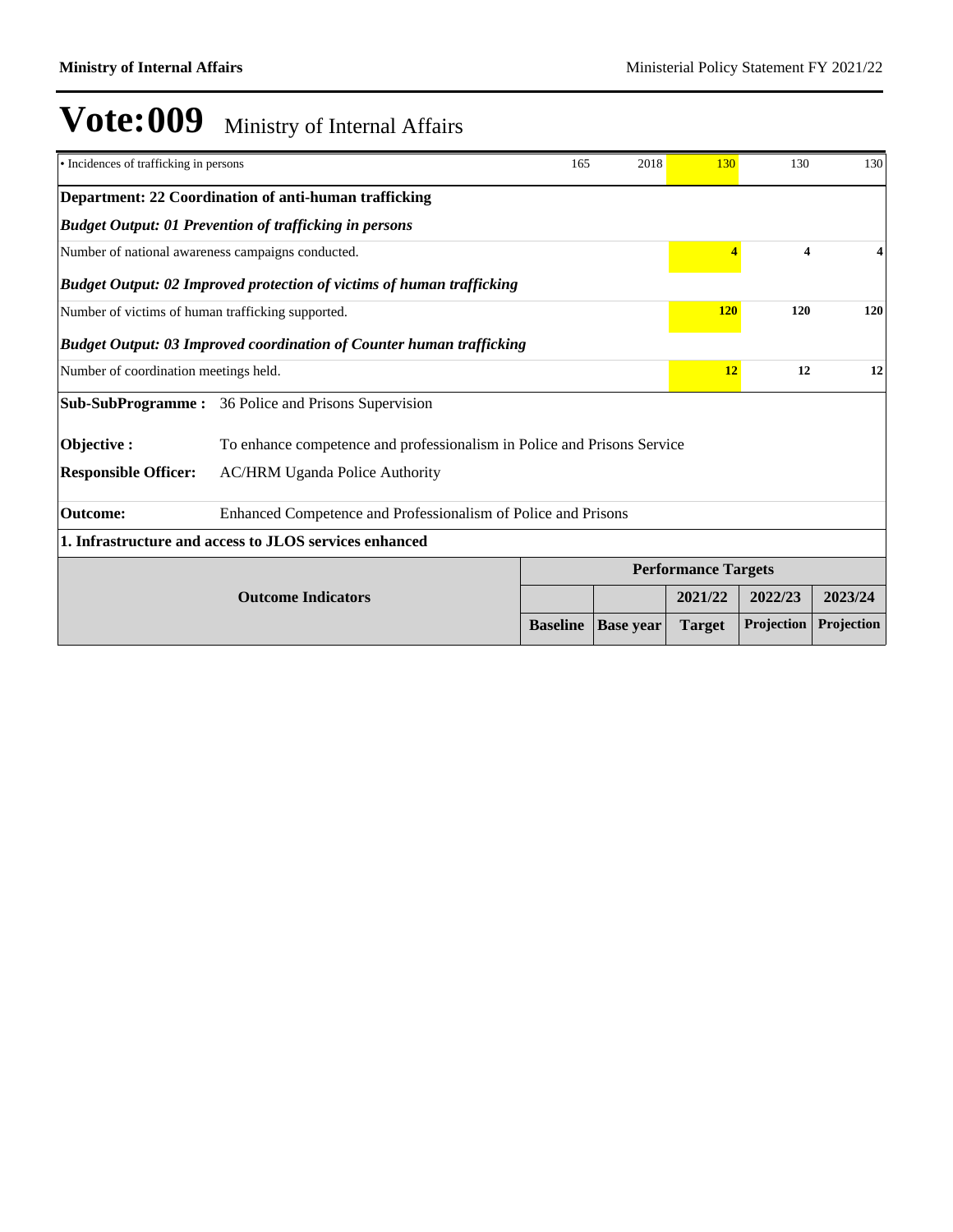| • Incidences of trafficking in persons            |                                                                              | 165             | 2018             | 130                        | 130                     | 130        |
|---------------------------------------------------|------------------------------------------------------------------------------|-----------------|------------------|----------------------------|-------------------------|------------|
|                                                   | Department: 22 Coordination of anti-human trafficking                        |                 |                  |                            |                         |            |
|                                                   | <b>Budget Output: 01 Prevention of trafficking in persons</b>                |                 |                  |                            |                         |            |
| Number of national awareness campaigns conducted. |                                                                              |                 |                  | $\overline{4}$             | $\overline{\mathbf{4}}$ | 4          |
|                                                   | <b>Budget Output: 02 Improved protection of victims of human trafficking</b> |                 |                  |                            |                         |            |
|                                                   | Number of victims of human trafficking supported.                            |                 |                  | <b>120</b>                 | 120                     | 120        |
|                                                   | <b>Budget Output: 03 Improved coordination of Counter human trafficking</b>  |                 |                  |                            |                         |            |
| Number of coordination meetings held.             |                                                                              |                 |                  | 12                         | 12                      | 12         |
| <b>Sub-SubProgramme:</b>                          | 36 Police and Prisons Supervision                                            |                 |                  |                            |                         |            |
| Objective:                                        | To enhance competence and professionalism in Police and Prisons Service      |                 |                  |                            |                         |            |
| <b>Responsible Officer:</b>                       | <b>AC/HRM Uganda Police Authority</b>                                        |                 |                  |                            |                         |            |
| <b>Outcome:</b>                                   | Enhanced Competence and Professionalism of Police and Prisons                |                 |                  |                            |                         |            |
|                                                   | 1. Infrastructure and access to JLOS services enhanced                       |                 |                  |                            |                         |            |
|                                                   |                                                                              |                 |                  | <b>Performance Targets</b> |                         |            |
|                                                   | <b>Outcome Indicators</b>                                                    |                 |                  | 2021/22                    | 2022/23                 | 2023/24    |
|                                                   |                                                                              | <b>Baseline</b> | <b>Base year</b> | <b>Target</b>              | Projection              | Projection |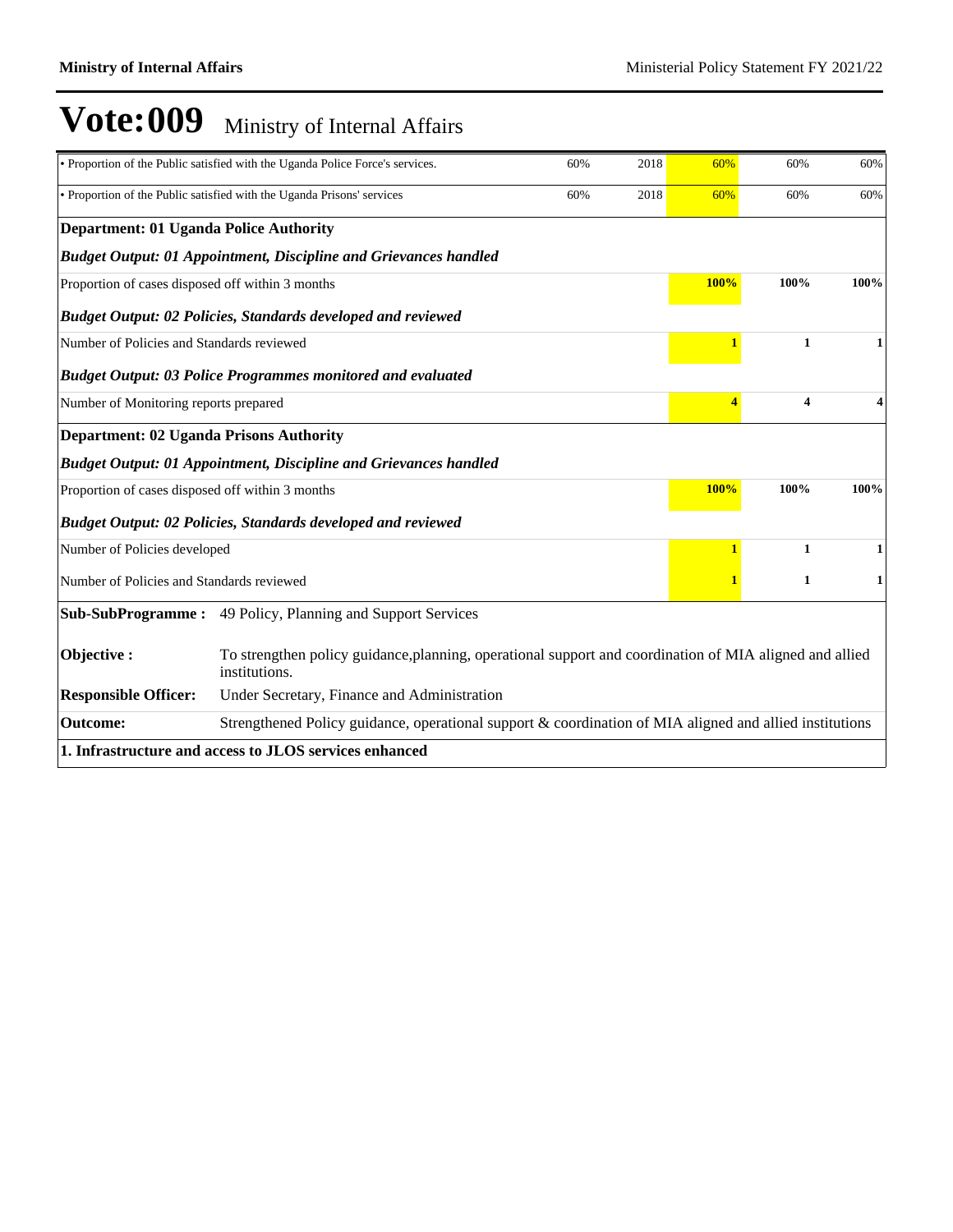|                                                  | • Proportion of the Public satisfied with the Uganda Police Force's services.                                            | 60%  | 2018 | 60%         | 60%                     | 60%  |  |
|--------------------------------------------------|--------------------------------------------------------------------------------------------------------------------------|------|------|-------------|-------------------------|------|--|
|                                                  | • Proportion of the Public satisfied with the Uganda Prisons' services<br>60%<br>2018                                    |      |      |             | 60%                     | 60%  |  |
| <b>Department: 01 Uganda Police Authority</b>    |                                                                                                                          |      |      |             |                         |      |  |
|                                                  | <b>Budget Output: 01 Appointment, Discipline and Grievances handled</b>                                                  |      |      |             |                         |      |  |
| Proportion of cases disposed off within 3 months |                                                                                                                          |      |      | <b>100%</b> | 100%                    | 100% |  |
|                                                  | Budget Output: 02 Policies, Standards developed and reviewed                                                             |      |      |             |                         |      |  |
| Number of Policies and Standards reviewed        |                                                                                                                          |      |      |             | 1                       |      |  |
|                                                  | <b>Budget Output: 03 Police Programmes monitored and evaluated</b>                                                       |      |      |             |                         |      |  |
| Number of Monitoring reports prepared            |                                                                                                                          |      |      | 4           | $\overline{\mathbf{4}}$ | 4    |  |
| <b>Department: 02 Uganda Prisons Authority</b>   |                                                                                                                          |      |      |             |                         |      |  |
|                                                  | <b>Budget Output: 01 Appointment, Discipline and Grievances handled</b>                                                  |      |      |             |                         |      |  |
| Proportion of cases disposed off within 3 months |                                                                                                                          | 100% | 100% | 100%        |                         |      |  |
|                                                  | Budget Output: 02 Policies, Standards developed and reviewed                                                             |      |      |             |                         |      |  |
| Number of Policies developed                     |                                                                                                                          |      |      | 1           | $\mathbf{1}$            |      |  |
| Number of Policies and Standards reviewed        |                                                                                                                          |      |      |             | $\mathbf{1}$            |      |  |
| <b>Sub-SubProgramme:</b>                         | 49 Policy, Planning and Support Services                                                                                 |      |      |             |                         |      |  |
| Objective:                                       | To strengthen policy guidance, planning, operational support and coordination of MIA aligned and allied<br>institutions. |      |      |             |                         |      |  |
| <b>Responsible Officer:</b>                      | Under Secretary, Finance and Administration                                                                              |      |      |             |                         |      |  |
| <b>Outcome:</b>                                  | Strengthened Policy guidance, operational support & coordination of MIA aligned and allied institutions                  |      |      |             |                         |      |  |
|                                                  | 1. Infrastructure and access to JLOS services enhanced                                                                   |      |      |             |                         |      |  |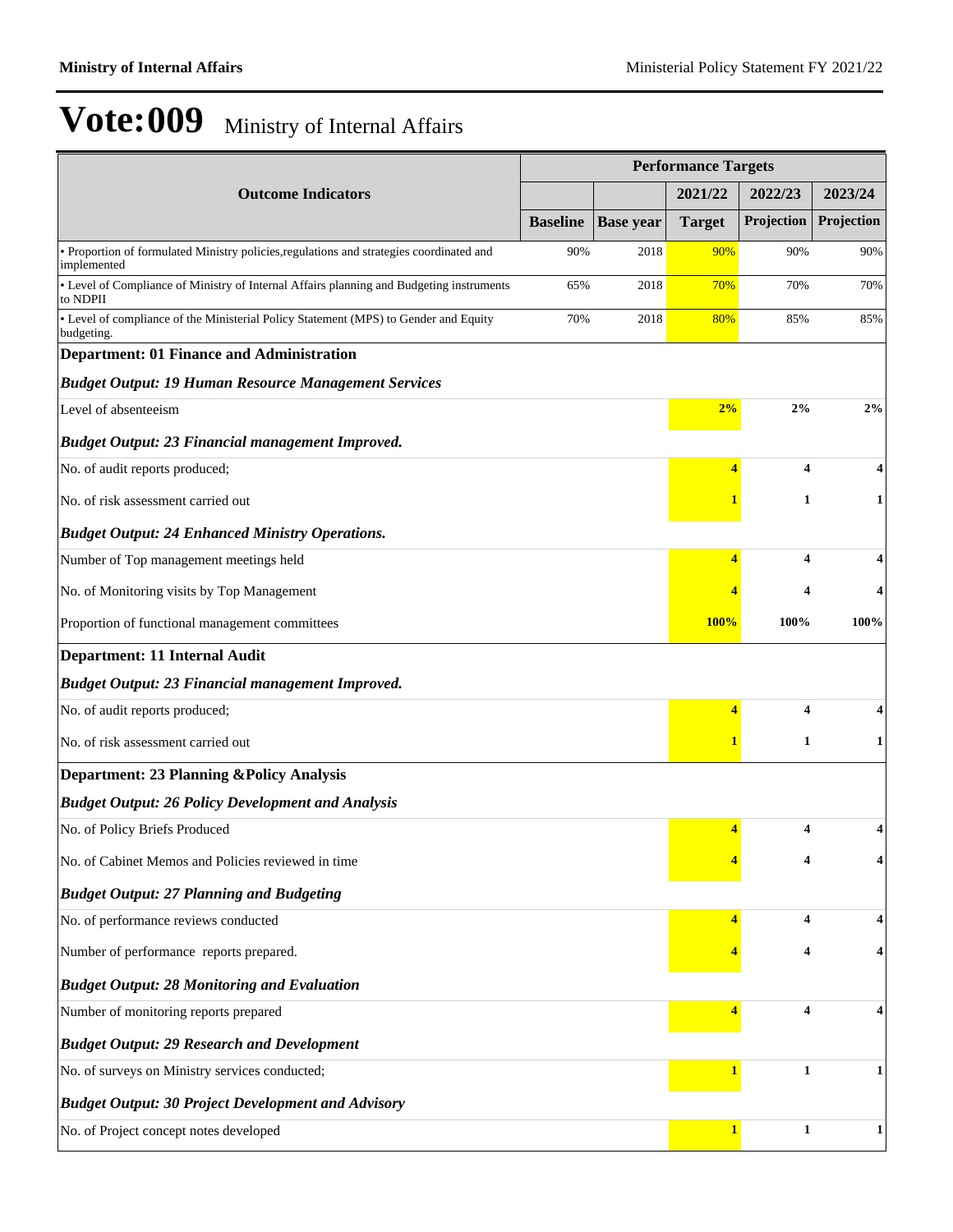|                                                                                                         | <b>Performance Targets</b> |                  |               |                         |              |  |
|---------------------------------------------------------------------------------------------------------|----------------------------|------------------|---------------|-------------------------|--------------|--|
| <b>Outcome Indicators</b>                                                                               |                            |                  | 2021/22       | 2022/23                 | 2023/24      |  |
|                                                                                                         | <b>Baseline</b>            | <b>Base year</b> | <b>Target</b> | Projection              | Projection   |  |
| · Proportion of formulated Ministry policies, regulations and strategies coordinated and<br>implemented | 90%                        | 2018             | 90%           | 90%                     | 90%          |  |
| • Level of Compliance of Ministry of Internal Affairs planning and Budgeting instruments<br>to NDPII    | 65%                        | 2018             | 70%           | 70%                     | 70%          |  |
| • Level of compliance of the Ministerial Policy Statement (MPS) to Gender and Equity<br>budgeting.      | 70%                        | 2018             | 80%           | 85%                     | 85%          |  |
| <b>Department: 01 Finance and Administration</b>                                                        |                            |                  |               |                         |              |  |
| <b>Budget Output: 19 Human Resource Management Services</b>                                             |                            |                  |               |                         |              |  |
| Level of absenteeism                                                                                    |                            |                  | 2%            | 2%                      | 2%           |  |
| <b>Budget Output: 23 Financial management Improved.</b>                                                 |                            |                  |               |                         |              |  |
| No. of audit reports produced;                                                                          |                            |                  | 4             | 4                       | 4            |  |
| No. of risk assessment carried out                                                                      |                            |                  |               | 1                       | $\mathbf{1}$ |  |
| <b>Budget Output: 24 Enhanced Ministry Operations.</b>                                                  |                            |                  |               |                         |              |  |
| Number of Top management meetings held                                                                  |                            |                  | 4             | $\overline{\mathbf{4}}$ | 4            |  |
| No. of Monitoring visits by Top Management                                                              |                            |                  |               | 4                       | 4            |  |
| Proportion of functional management committees                                                          |                            |                  | 100%          | 100%                    | 100%         |  |
| Department: 11 Internal Audit                                                                           |                            |                  |               |                         |              |  |
| <b>Budget Output: 23 Financial management Improved.</b>                                                 |                            |                  |               |                         |              |  |
| No. of audit reports produced;                                                                          |                            |                  | 4             | 4                       |              |  |
| No. of risk assessment carried out                                                                      |                            |                  |               | 1                       | $\mathbf{1}$ |  |
| <b>Department: 23 Planning &amp; Policy Analysis</b>                                                    |                            |                  |               |                         |              |  |
| <b>Budget Output: 26 Policy Development and Analysis</b>                                                |                            |                  |               |                         |              |  |
| No. of Policy Briefs Produced                                                                           |                            |                  | 4             | 4                       | 4            |  |
| No. of Cabinet Memos and Policies reviewed in time                                                      |                            |                  |               | 4                       |              |  |
| <b>Budget Output: 27 Planning and Budgeting</b>                                                         |                            |                  |               |                         |              |  |
| No. of performance reviews conducted                                                                    |                            |                  | 4             | 4                       | 4            |  |
| Number of performance reports prepared.                                                                 |                            |                  |               | 4                       | 4            |  |
| <b>Budget Output: 28 Monitoring and Evaluation</b>                                                      |                            |                  |               |                         |              |  |
| Number of monitoring reports prepared                                                                   |                            |                  | 4             | 4                       | 4            |  |
| <b>Budget Output: 29 Research and Development</b>                                                       |                            |                  |               |                         |              |  |
| No. of surveys on Ministry services conducted;                                                          |                            |                  | $\mathbf{1}$  | $\mathbf{1}$            | $\mathbf{1}$ |  |
| <b>Budget Output: 30 Project Development and Advisory</b>                                               |                            |                  |               |                         |              |  |
| No. of Project concept notes developed                                                                  |                            |                  | $\mathbf{1}$  | $\mathbf{1}$            | $\mathbf{1}$ |  |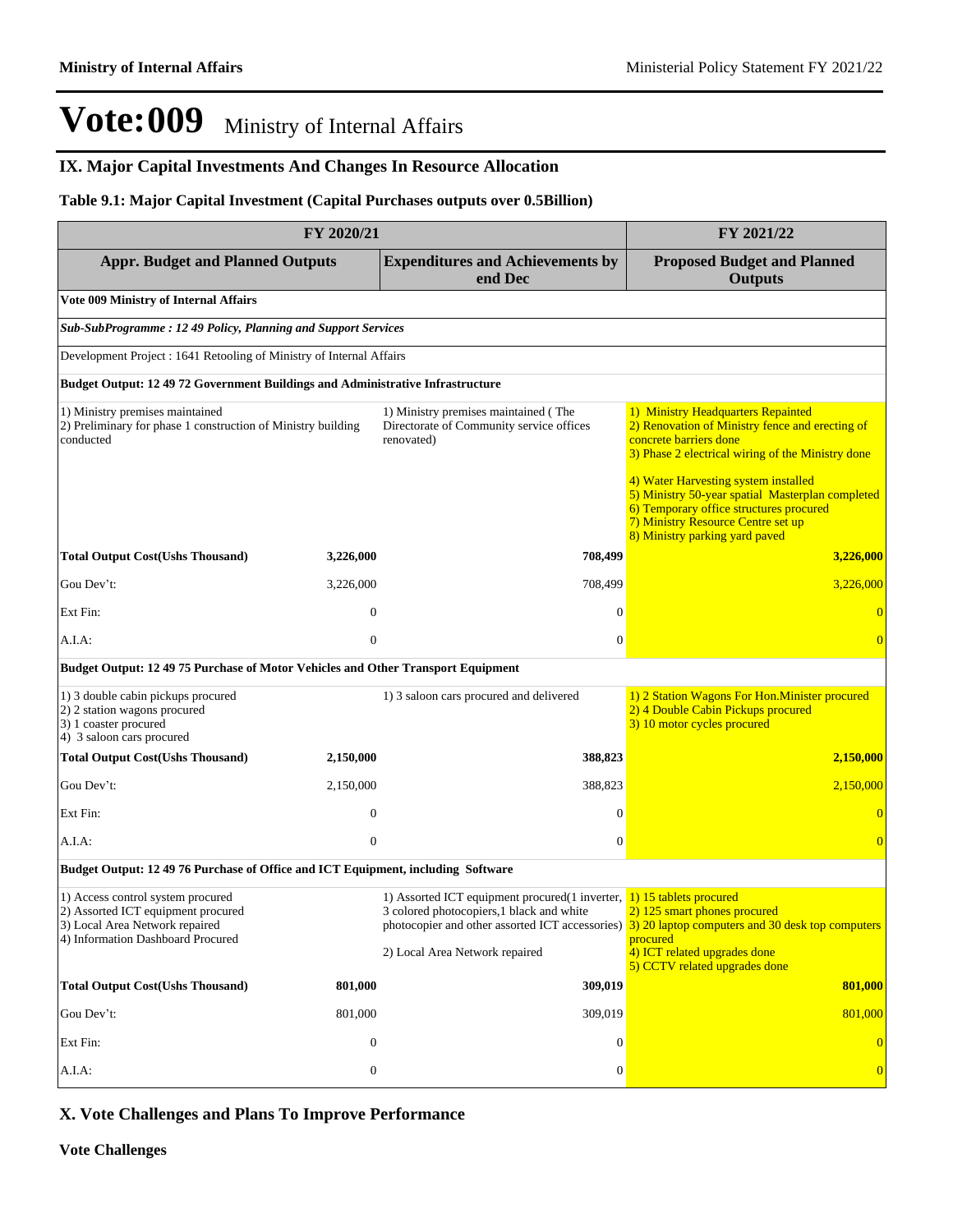### **IX. Major Capital Investments And Changes In Resource Allocation**

#### **Table 9.1: Major Capital Investment (Capital Purchases outputs over 0.5Billion)**

| FY 2020/21                                                                                                                                     |                  |                                                                                                                                                                    | FY 2021/22                                                                                                                                                                                                                                                                                                                                                                          |  |  |  |  |  |
|------------------------------------------------------------------------------------------------------------------------------------------------|------------------|--------------------------------------------------------------------------------------------------------------------------------------------------------------------|-------------------------------------------------------------------------------------------------------------------------------------------------------------------------------------------------------------------------------------------------------------------------------------------------------------------------------------------------------------------------------------|--|--|--|--|--|
| <b>Appr. Budget and Planned Outputs</b>                                                                                                        |                  | <b>Expenditures and Achievements by</b><br>end Dec                                                                                                                 | <b>Proposed Budget and Planned</b><br><b>Outputs</b>                                                                                                                                                                                                                                                                                                                                |  |  |  |  |  |
| <b>Vote 009 Ministry of Internal Affairs</b>                                                                                                   |                  |                                                                                                                                                                    |                                                                                                                                                                                                                                                                                                                                                                                     |  |  |  |  |  |
| <b>Sub-SubProgramme: 12 49 Policy, Planning and Support Services</b>                                                                           |                  |                                                                                                                                                                    |                                                                                                                                                                                                                                                                                                                                                                                     |  |  |  |  |  |
| Development Project : 1641 Retooling of Ministry of Internal Affairs                                                                           |                  |                                                                                                                                                                    |                                                                                                                                                                                                                                                                                                                                                                                     |  |  |  |  |  |
| <b>Budget Output: 12 49 72 Government Buildings and Administrative Infrastructure</b>                                                          |                  |                                                                                                                                                                    |                                                                                                                                                                                                                                                                                                                                                                                     |  |  |  |  |  |
| 1) Ministry premises maintained<br>2) Preliminary for phase 1 construction of Ministry building<br>conducted                                   |                  | 1) Ministry premises maintained (The<br>Directorate of Community service offices<br>renovated)                                                                     | 1) Ministry Headquarters Repainted<br>2) Renovation of Ministry fence and erecting of<br>concrete barriers done<br>3) Phase 2 electrical wiring of the Ministry done<br>4) Water Harvesting system installed<br>5) Ministry 50-year spatial Masterplan completed<br>6) Temporary office structures procured<br>7) Ministry Resource Centre set up<br>8) Ministry parking yard paved |  |  |  |  |  |
| <b>Total Output Cost(Ushs Thousand)</b>                                                                                                        | 3,226,000        | 708,499                                                                                                                                                            | 3,226,000                                                                                                                                                                                                                                                                                                                                                                           |  |  |  |  |  |
| Gou Dev't:                                                                                                                                     | 3,226,000        | 708,499                                                                                                                                                            | 3,226,000                                                                                                                                                                                                                                                                                                                                                                           |  |  |  |  |  |
| Ext Fin:                                                                                                                                       | $\boldsymbol{0}$ | $\mathbf{0}$                                                                                                                                                       | $\overline{0}$                                                                                                                                                                                                                                                                                                                                                                      |  |  |  |  |  |
| A.I.A:                                                                                                                                         | $\mathbf{0}$     | $\mathbf{0}$                                                                                                                                                       | $\overline{0}$                                                                                                                                                                                                                                                                                                                                                                      |  |  |  |  |  |
| Budget Output: 12 49 75 Purchase of Motor Vehicles and Other Transport Equipment                                                               |                  |                                                                                                                                                                    |                                                                                                                                                                                                                                                                                                                                                                                     |  |  |  |  |  |
| 1) 3 double cabin pickups procured<br>2) 2 station wagons procured<br>3) 1 coaster procured<br>4) 3 saloon cars procured                       |                  | 1) 3 saloon cars procured and delivered                                                                                                                            | 1) 2 Station Wagons For Hon. Minister procured<br>2) 4 Double Cabin Pickups procured<br>3) 10 motor cycles procured                                                                                                                                                                                                                                                                 |  |  |  |  |  |
| <b>Total Output Cost(Ushs Thousand)</b>                                                                                                        | 2,150,000        | 388,823                                                                                                                                                            | 2,150,000                                                                                                                                                                                                                                                                                                                                                                           |  |  |  |  |  |
| Gou Dev't:                                                                                                                                     | 2,150,000        | 388,823                                                                                                                                                            | 2,150,000                                                                                                                                                                                                                                                                                                                                                                           |  |  |  |  |  |
| Ext Fin:                                                                                                                                       | $\boldsymbol{0}$ | $\mathbf{0}$                                                                                                                                                       | $\overline{0}$                                                                                                                                                                                                                                                                                                                                                                      |  |  |  |  |  |
| A.I.A:                                                                                                                                         | $\mathbf{0}$     | $\mathbf{0}$                                                                                                                                                       | $\overline{0}$                                                                                                                                                                                                                                                                                                                                                                      |  |  |  |  |  |
| Budget Output: 12 49 76 Purchase of Office and ICT Equipment, including Software                                                               |                  |                                                                                                                                                                    |                                                                                                                                                                                                                                                                                                                                                                                     |  |  |  |  |  |
| 1) Access control system procured<br>2) Assorted ICT equipment procured<br>3) Local Area Network repaired<br>4) Information Dashboard Procured |                  | 1) Assorted ICT equipment procured $(1$ inverter, $\frac{1}{1}$ 15 tablets procured<br>3 colored photocopiers, 1 black and white<br>2) Local Area Network repaired | 2) 125 smart phones procured<br>photocopier and other assorted ICT accessories) $\frac{3}{2}$ 20 laptop computers and 30 desk top computers<br>procured<br>4) ICT related upgrades done<br>5) CCTV related upgrades done                                                                                                                                                            |  |  |  |  |  |
| <b>Total Output Cost(Ushs Thousand)</b>                                                                                                        | 801,000          | 309,019                                                                                                                                                            | 801,000                                                                                                                                                                                                                                                                                                                                                                             |  |  |  |  |  |
| Gou Dev't:                                                                                                                                     | 801,000          | 309,019                                                                                                                                                            | 801,000                                                                                                                                                                                                                                                                                                                                                                             |  |  |  |  |  |
| Ext Fin:                                                                                                                                       | $\mathbf{0}$     | $\boldsymbol{0}$                                                                                                                                                   | $\mathbf{0}$                                                                                                                                                                                                                                                                                                                                                                        |  |  |  |  |  |
| A.I.A.                                                                                                                                         | $\boldsymbol{0}$ | $\boldsymbol{0}$                                                                                                                                                   | $\bf{0}$                                                                                                                                                                                                                                                                                                                                                                            |  |  |  |  |  |

### **X. Vote Challenges and Plans To Improve Performance**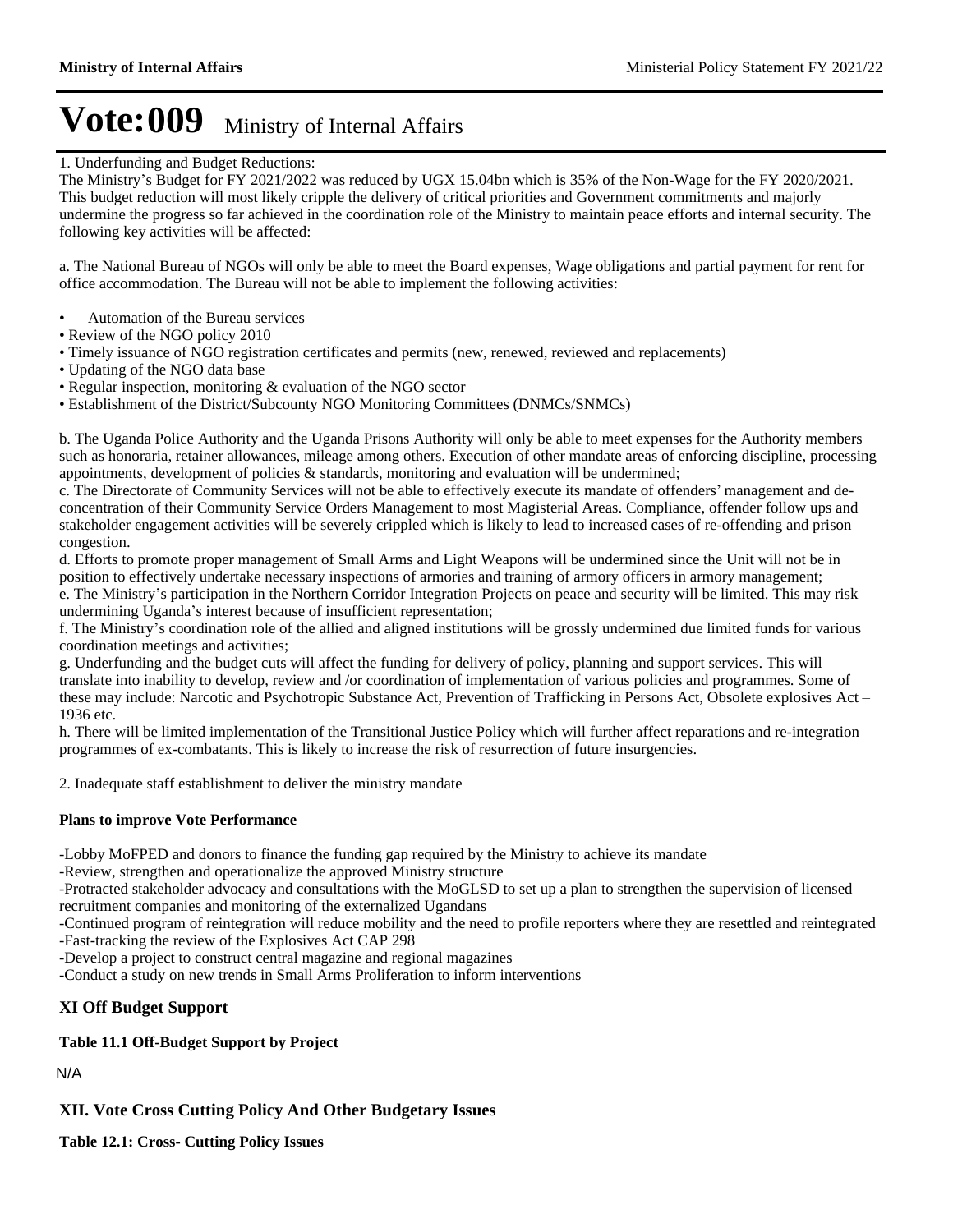#### 1. Underfunding and Budget Reductions:

The Ministry's Budget for FY 2021/2022 was reduced by UGX 15.04bn which is 35% of the Non-Wage for the FY 2020/2021. This budget reduction will most likely cripple the delivery of critical priorities and Government commitments and majorly undermine the progress so far achieved in the coordination role of the Ministry to maintain peace efforts and internal security. The following key activities will be affected:

a. The National Bureau of NGOs will only be able to meet the Board expenses, Wage obligations and partial payment for rent for office accommodation. The Bureau will not be able to implement the following activities:

- Automation of the Bureau services
- Review of the NGO policy 2010
- Timely issuance of NGO registration certificates and permits (new, renewed, reviewed and replacements)
- Updating of the NGO data base
- Regular inspection, monitoring & evaluation of the NGO sector
- Establishment of the District/Subcounty NGO Monitoring Committees (DNMCs/SNMCs)

b. The Uganda Police Authority and the Uganda Prisons Authority will only be able to meet expenses for the Authority members such as honoraria, retainer allowances, mileage among others. Execution of other mandate areas of enforcing discipline, processing appointments, development of policies & standards, monitoring and evaluation will be undermined;

c. The Directorate of Community Services will not be able to effectively execute its mandate of offenders' management and deconcentration of their Community Service Orders Management to most Magisterial Areas. Compliance, offender follow ups and stakeholder engagement activities will be severely crippled which is likely to lead to increased cases of re-offending and prison congestion.

d. Efforts to promote proper management of Small Arms and Light Weapons will be undermined since the Unit will not be in position to effectively undertake necessary inspections of armories and training of armory officers in armory management; e. The Ministry's participation in the Northern Corridor Integration Projects on peace and security will be limited. This may risk undermining Uganda's interest because of insufficient representation;

f. The Ministry's coordination role of the allied and aligned institutions will be grossly undermined due limited funds for various coordination meetings and activities;

g. Underfunding and the budget cuts will affect the funding for delivery of policy, planning and support services. This will translate into inability to develop, review and /or coordination of implementation of various policies and programmes. Some of these may include: Narcotic and Psychotropic Substance Act, Prevention of Trafficking in Persons Act, Obsolete explosives Act – 1936 etc.

h. There will be limited implementation of the Transitional Justice Policy which will further affect reparations and re-integration programmes of ex-combatants. This is likely to increase the risk of resurrection of future insurgencies.

2. Inadequate staff establishment to deliver the ministry mandate

#### **Plans to improve Vote Performance**

-Lobby MoFPED and donors to finance the funding gap required by the Ministry to achieve its mandate

-Review, strengthen and operationalize the approved Ministry structure

-Protracted stakeholder advocacy and consultations with the MoGLSD to set up a plan to strengthen the supervision of licensed recruitment companies and monitoring of the externalized Ugandans

-Continued program of reintegration will reduce mobility and the need to profile reporters where they are resettled and reintegrated -Fast-tracking the review of the Explosives Act CAP 298

-Develop a project to construct central magazine and regional magazines

-Conduct a study on new trends in Small Arms Proliferation to inform interventions

#### **XI Off Budget Support**

#### **Table 11.1 Off-Budget Support by Project**

N/A

**XII. Vote Cross Cutting Policy And Other Budgetary Issues**

**Table 12.1: Cross- Cutting Policy Issues**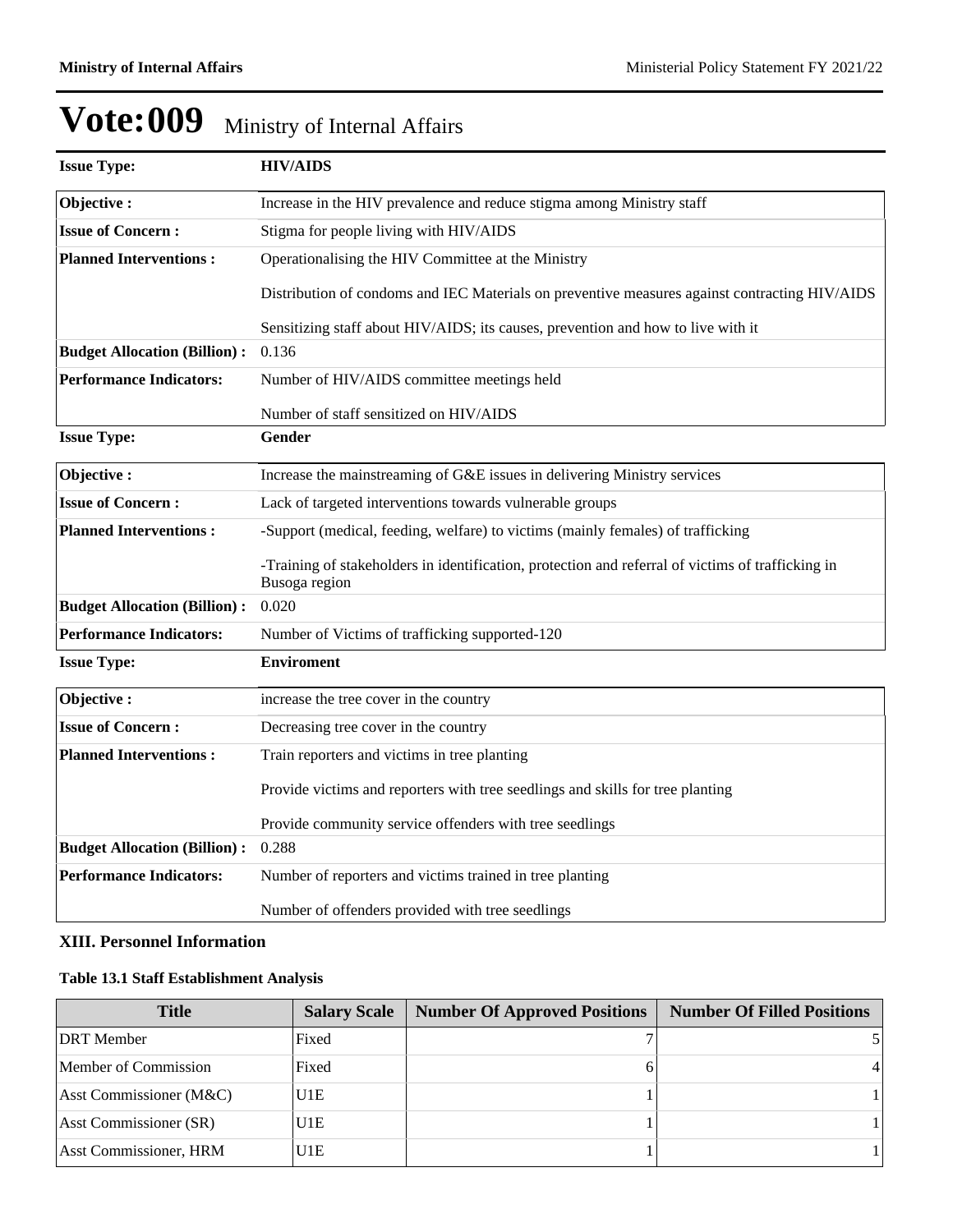| <b>Issue Type:</b>                  | <b>HIV/AIDS</b>                                                                                                    |  |  |  |  |
|-------------------------------------|--------------------------------------------------------------------------------------------------------------------|--|--|--|--|
| Objective:                          | Increase in the HIV prevalence and reduce stigma among Ministry staff                                              |  |  |  |  |
| <b>Issue of Concern:</b>            | Stigma for people living with HIV/AIDS                                                                             |  |  |  |  |
| <b>Planned Interventions:</b>       | Operationalising the HIV Committee at the Ministry                                                                 |  |  |  |  |
|                                     | Distribution of condoms and IEC Materials on preventive measures against contracting HIV/AIDS                      |  |  |  |  |
|                                     | Sensitizing staff about HIV/AIDS; its causes, prevention and how to live with it                                   |  |  |  |  |
| <b>Budget Allocation (Billion):</b> | 0.136                                                                                                              |  |  |  |  |
| <b>Performance Indicators:</b>      | Number of HIV/AIDS committee meetings held                                                                         |  |  |  |  |
|                                     | Number of staff sensitized on HIV/AIDS                                                                             |  |  |  |  |
| <b>Issue Type:</b>                  | Gender                                                                                                             |  |  |  |  |
| Objective:                          | Increase the mainstreaming of G&E issues in delivering Ministry services                                           |  |  |  |  |
| <b>Issue of Concern:</b>            | Lack of targeted interventions towards vulnerable groups                                                           |  |  |  |  |
| <b>Planned Interventions:</b>       | -Support (medical, feeding, welfare) to victims (mainly females) of trafficking                                    |  |  |  |  |
|                                     | -Training of stakeholders in identification, protection and referral of victims of trafficking in<br>Busoga region |  |  |  |  |
| <b>Budget Allocation (Billion):</b> | 0.020                                                                                                              |  |  |  |  |
| <b>Performance Indicators:</b>      | Number of Victims of trafficking supported-120                                                                     |  |  |  |  |
| <b>Issue Type:</b>                  | <b>Enviroment</b>                                                                                                  |  |  |  |  |
| Objective:                          | increase the tree cover in the country                                                                             |  |  |  |  |
| <b>Issue of Concern:</b>            | Decreasing tree cover in the country                                                                               |  |  |  |  |
| <b>Planned Interventions:</b>       | Train reporters and victims in tree planting                                                                       |  |  |  |  |
|                                     | Provide victims and reporters with tree seedlings and skills for tree planting                                     |  |  |  |  |
|                                     | Provide community service offenders with tree seedlings                                                            |  |  |  |  |
| <b>Budget Allocation (Billion):</b> | 0.288                                                                                                              |  |  |  |  |
| <b>Performance Indicators:</b>      | Number of reporters and victims trained in tree planting                                                           |  |  |  |  |
|                                     | Number of offenders provided with tree seedlings                                                                   |  |  |  |  |

### **XIII. Personnel Information**

### **Table 13.1 Staff Establishment Analysis**

| <b>Title</b>                  | <b>Salary Scale</b> | <b>Number Of Approved Positions</b> | <b>Number Of Filled Positions</b> |
|-------------------------------|---------------------|-------------------------------------|-----------------------------------|
| <b>DRT</b> Member             | Fixed               |                                     |                                   |
| Member of Commission          | Fixed               |                                     |                                   |
| Asst Commissioner (M&C)       | U1E                 |                                     |                                   |
| <b>Asst Commissioner (SR)</b> | U1E                 |                                     |                                   |
| <b>Asst Commissioner, HRM</b> | U1E                 |                                     |                                   |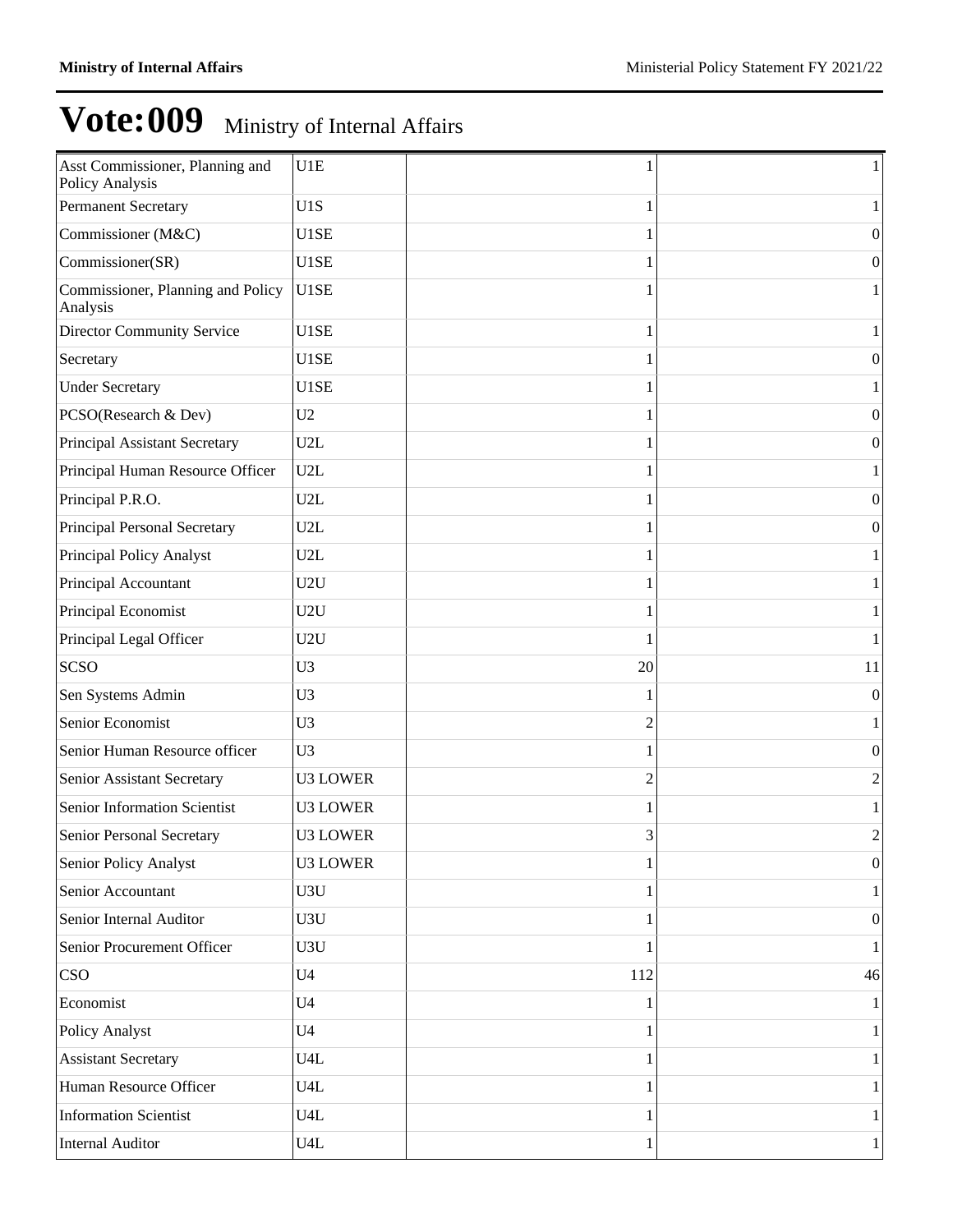| Asst Commissioner, Planning and<br>Policy Analysis | U1E               |                | $\mathbf{1}$     |
|----------------------------------------------------|-------------------|----------------|------------------|
| <b>Permanent Secretary</b>                         | U1S               | 1              | $\mathbf{1}$     |
| Commissioner (M&C)                                 | U1SE              | 1              | $\boldsymbol{0}$ |
| Commissioner(SR)                                   | U1SE              |                | $\boldsymbol{0}$ |
| Commissioner, Planning and Policy<br>Analysis      | U <sub>1</sub> SE |                | $\mathbf{1}$     |
| <b>Director Community Service</b>                  | U1SE              |                | $\mathbf{1}$     |
| Secretary                                          | U1SE              |                | $\boldsymbol{0}$ |
| <b>Under Secretary</b>                             | U1SE              |                | 1                |
| PCSO(Research & Dev)                               | U <sub>2</sub>    |                | $\boldsymbol{0}$ |
| Principal Assistant Secretary                      | U2L               |                | $\boldsymbol{0}$ |
| Principal Human Resource Officer                   | U2L               |                | $\mathbf{1}$     |
| Principal P.R.O.                                   | U2L               |                | $\mathbf{0}$     |
| Principal Personal Secretary                       | U2L               |                | $\boldsymbol{0}$ |
| Principal Policy Analyst                           | U2L               |                | 1                |
| Principal Accountant                               | U2U               |                | $\mathbf{1}$     |
| Principal Economist                                | U2U               |                | $\mathbf{1}$     |
| Principal Legal Officer                            | U2U               |                | $\mathbf{1}$     |
| <b>SCSO</b>                                        | U <sub>3</sub>    | 20             | 11               |
| Sen Systems Admin                                  | U <sub>3</sub>    |                | $\mathbf{0}$     |
| Senior Economist                                   | U <sub>3</sub>    | $\overline{c}$ | $\mathbf{1}$     |
| Senior Human Resource officer                      | U <sub>3</sub>    |                | $\mathbf{0}$     |
| Senior Assistant Secretary                         | <b>U3 LOWER</b>   | $\overline{2}$ | 2                |
| Senior Information Scientist                       | <b>U3 LOWER</b>   |                | $\mathbf{1}$     |
| Senior Personal Secretary                          | <b>U3 LOWER</b>   | 3              | 2                |
| Senior Policy Analyst                              | <b>U3 LOWER</b>   |                | $\boldsymbol{0}$ |
| Senior Accountant                                  | U3U               |                | $\mathbf{1}$     |
| Senior Internal Auditor                            | U3U               |                | $\boldsymbol{0}$ |
| Senior Procurement Officer                         | U3U               |                | $\mathbf{1}$     |
| <b>CSO</b>                                         | U <sub>4</sub>    | 112            | 46               |
| Economist                                          | U <sub>4</sub>    |                | $\mathbf{1}$     |
| Policy Analyst                                     | U <sub>4</sub>    |                | 1                |
| <b>Assistant Secretary</b>                         | U4L               |                | $\mathbf{1}$     |
| Human Resource Officer                             | U4L               |                | 1                |
| <b>Information Scientist</b>                       | U4L               |                | $\mathbf{1}$     |
| <b>Internal Auditor</b>                            | U4L               | 1              | $\mathbf{1}$     |